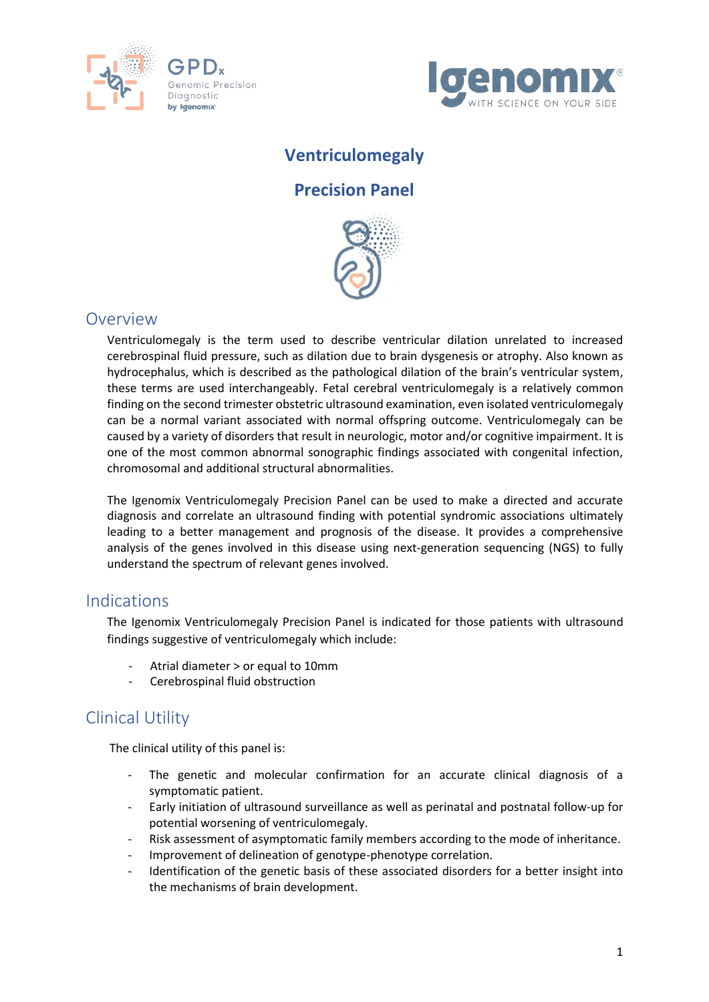



## **Ventriculomegaly**

## **Precision Panel**



### Overview

Ventriculomegaly is the term used to describe ventricular dilation unrelated to increased cerebrospinal fluid pressure, such as dilation due to brain dysgenesis or atrophy. Also known as hydrocephalus, which is described as the pathological dilation of the brain's ventricular system, these terms are used interchangeably. Fetal cerebral ventriculomegaly is a relatively common finding on the second trimester obstetric ultrasound examination, even isolated ventriculomegaly can be a normal variant associated with normal offspring outcome. Ventriculomegaly can be caused by a variety of disorders that result in neurologic, motor and/or cognitive impairment. It is one of the most common abnormal sonographic findings associated with congenital infection, chromosomal and additional structural abnormalities.

The Igenomix Ventriculomegaly Precision Panel can be used to make a directed and accurate diagnosis and correlate an ultrasound finding with potential syndromic associations ultimately leading to a better management and prognosis of the disease. It provides a comprehensive analysis of the genes involved in this disease using next-generation sequencing (NGS) to fully understand the spectrum of relevant genes involved.

### Indications

The Igenomix Ventriculomegaly Precision Panel is indicated for those patients with ultrasound findings suggestive of ventriculomegaly which include:

- ‐ Atrial diameter > or equal to 10mm
- ‐ Cerebrospinal fluid obstruction

## Clinical Utility

The clinical utility of this panel is:

- The genetic and molecular confirmation for an accurate clinical diagnosis of a symptomatic patient.
- Early initiation of ultrasound surveillance as well as perinatal and postnatal follow-up for potential worsening of ventriculomegaly.
- Risk assessment of asymptomatic family members according to the mode of inheritance.
- Improvement of delineation of genotype-phenotype correlation.
- Identification of the genetic basis of these associated disorders for a better insight into the mechanisms of brain development.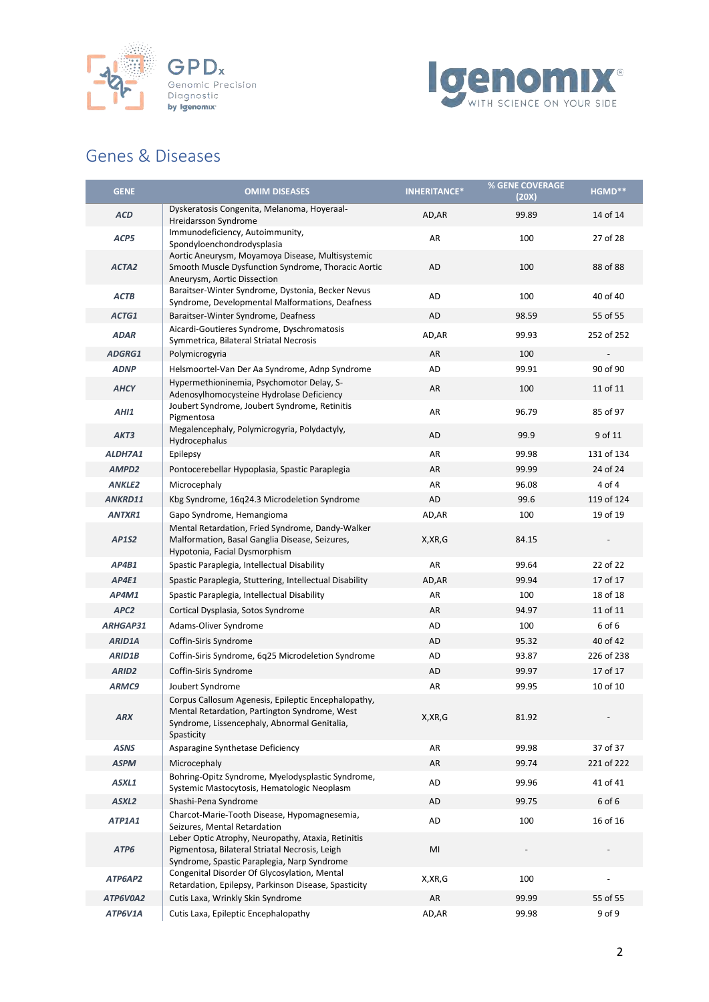



## Genes & Diseases

| <b>GENE</b>       | <b>OMIM DISEASES</b>                                                                                                                                               | <b>INHERITANCE*</b> | % GENE COVERAGE<br>(20X) | HGMD**     |
|-------------------|--------------------------------------------------------------------------------------------------------------------------------------------------------------------|---------------------|--------------------------|------------|
| <b>ACD</b>        | Dyskeratosis Congenita, Melanoma, Hoyeraal-<br>Hreidarsson Syndrome                                                                                                | AD, AR              | 99.89                    | 14 of 14   |
| ACP5              | Immunodeficiency, Autoimmunity,<br>Spondyloenchondrodysplasia                                                                                                      | AR                  | 100                      | 27 of 28   |
| ACTA <sub>2</sub> | Aortic Aneurysm, Moyamoya Disease, Multisystemic<br>Smooth Muscle Dysfunction Syndrome, Thoracic Aortic<br>Aneurysm, Aortic Dissection                             | AD                  | 100                      | 88 of 88   |
| ACTB              | Baraitser-Winter Syndrome, Dystonia, Becker Nevus<br>Syndrome, Developmental Malformations, Deafness                                                               | AD                  | 100                      | 40 of 40   |
| ACTG1             | Baraitser-Winter Syndrome, Deafness                                                                                                                                | AD                  | 98.59                    | 55 of 55   |
| <b>ADAR</b>       | Aicardi-Goutieres Syndrome, Dyschromatosis<br>Symmetrica, Bilateral Striatal Necrosis                                                                              | AD, AR              | 99.93                    | 252 of 252 |
| ADGRG1            | Polymicrogyria                                                                                                                                                     | AR                  | 100                      |            |
| <b>ADNP</b>       | Helsmoortel-Van Der Aa Syndrome, Adnp Syndrome                                                                                                                     | AD                  | 99.91                    | 90 of 90   |
| <b>AHCY</b>       | Hypermethioninemia, Psychomotor Delay, S-<br>Adenosylhomocysteine Hydrolase Deficiency                                                                             | AR                  | 100                      | 11 of 11   |
| AHI1              | Joubert Syndrome, Joubert Syndrome, Retinitis<br>Pigmentosa                                                                                                        | AR                  | 96.79                    | 85 of 97   |
| AKT3              | Megalencephaly, Polymicrogyria, Polydactyly,<br>Hydrocephalus                                                                                                      | AD                  | 99.9                     | 9 of 11    |
| ALDH7A1           | Epilepsy                                                                                                                                                           | AR                  | 99.98                    | 131 of 134 |
| AMPD <sub>2</sub> | Pontocerebellar Hypoplasia, Spastic Paraplegia                                                                                                                     | AR                  | 99.99                    | 24 of 24   |
| <b>ANKLE2</b>     | Microcephaly                                                                                                                                                       | AR                  | 96.08                    | 4 of 4     |
| ANKRD11           | Kbg Syndrome, 16q24.3 Microdeletion Syndrome                                                                                                                       | AD                  | 99.6                     | 119 of 124 |
| <b>ANTXR1</b>     | Gapo Syndrome, Hemangioma                                                                                                                                          | AD, AR              | 100                      | 19 of 19   |
| <b>AP1S2</b>      | Mental Retardation, Fried Syndrome, Dandy-Walker<br>Malformation, Basal Ganglia Disease, Seizures,<br>Hypotonia, Facial Dysmorphism                                | X, XR, G            | 84.15                    |            |
| AP4B1             | Spastic Paraplegia, Intellectual Disability                                                                                                                        | AR                  | 99.64                    | 22 of 22   |
| AP4E1             | Spastic Paraplegia, Stuttering, Intellectual Disability                                                                                                            | AD, AR              | 99.94                    | 17 of 17   |
| AP4M1             | Spastic Paraplegia, Intellectual Disability                                                                                                                        | AR                  | 100                      | 18 of 18   |
| APC <sub>2</sub>  | Cortical Dysplasia, Sotos Syndrome                                                                                                                                 | AR                  | 94.97                    | 11 of 11   |
| ARHGAP31          | Adams-Oliver Syndrome                                                                                                                                              | AD                  | 100                      | 6 of 6     |
| ARID1A            | Coffin-Siris Syndrome                                                                                                                                              | AD                  | 95.32                    | 40 of 42   |
| <b>ARID1B</b>     | Coffin-Siris Syndrome, 6q25 Microdeletion Syndrome                                                                                                                 | AD                  | 93.87                    | 226 of 238 |
| ARID <sub>2</sub> | Coffin-Siris Syndrome                                                                                                                                              | AD                  | 99.97                    | 17 of 17   |
| ARMC9             | Joubert Syndrome                                                                                                                                                   | AR                  | 99.95                    | 10 of 10   |
| ARX               | Corpus Callosum Agenesis, Epileptic Encephalopathy,<br>Mental Retardation, Partington Syndrome, West<br>Syndrome, Lissencephaly, Abnormal Genitalia,<br>Spasticity | X,XR,G              | 81.92                    |            |
| <b>ASNS</b>       | Asparagine Synthetase Deficiency                                                                                                                                   | AR                  | 99.98                    | 37 of 37   |
| <b>ASPM</b>       | Microcephaly                                                                                                                                                       | AR                  | 99.74                    | 221 of 222 |
| ASXL1             | Bohring-Opitz Syndrome, Myelodysplastic Syndrome,<br>Systemic Mastocytosis, Hematologic Neoplasm                                                                   | AD                  | 99.96                    | 41 of 41   |
| ASXL2             | Shashi-Pena Syndrome                                                                                                                                               | AD                  | 99.75                    | 6 of 6     |
| ATP1A1            | Charcot-Marie-Tooth Disease, Hypomagnesemia,<br>Seizures, Mental Retardation                                                                                       | AD                  | 100                      | 16 of 16   |
| ATP6              | Leber Optic Atrophy, Neuropathy, Ataxia, Retinitis<br>Pigmentosa, Bilateral Striatal Necrosis, Leigh<br>Syndrome, Spastic Paraplegia, Narp Syndrome                | MI                  |                          |            |
| ATP6AP2           | Congenital Disorder Of Glycosylation, Mental<br>Retardation, Epilepsy, Parkinson Disease, Spasticity                                                               | X, XR, G            | 100                      |            |
| ATP6V0A2          | Cutis Laxa, Wrinkly Skin Syndrome                                                                                                                                  | AR                  | 99.99                    | 55 of 55   |
| ATP6V1A           | Cutis Laxa, Epileptic Encephalopathy                                                                                                                               | AD, AR              | 99.98                    | 9 of 9     |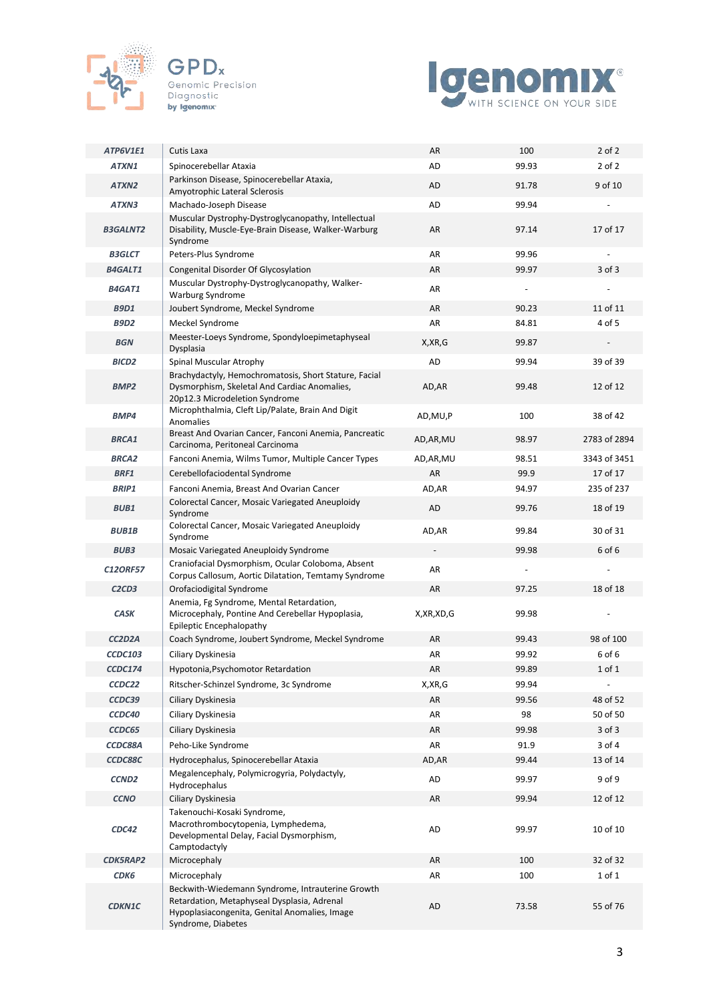



| ATP6V1E1                        | Cutis Laxa                                                                                                                                                             | AR         | 100                      | $2$ of $2$               |
|---------------------------------|------------------------------------------------------------------------------------------------------------------------------------------------------------------------|------------|--------------------------|--------------------------|
| ATXN1                           | Spinocerebellar Ataxia                                                                                                                                                 | AD         | 99.93                    | $2$ of $2$               |
| ATXN2                           | Parkinson Disease, Spinocerebellar Ataxia,<br>Amyotrophic Lateral Sclerosis                                                                                            | AD         | 91.78                    | 9 of 10                  |
| ATXN3                           | Machado-Joseph Disease                                                                                                                                                 | AD         | 99.94                    |                          |
| <b>B3GALNT2</b>                 | Muscular Dystrophy-Dystroglycanopathy, Intellectual<br>Disability, Muscle-Eye-Brain Disease, Walker-Warburg<br>Syndrome                                                | AR         | 97.14                    | 17 of 17                 |
| <b>B3GLCT</b>                   | Peters-Plus Syndrome                                                                                                                                                   | AR         | 99.96                    | $\overline{\phantom{a}}$ |
| <b>B4GALT1</b>                  | Congenital Disorder Of Glycosylation                                                                                                                                   | AR         | 99.97                    | $3$ of $3$               |
| B4GAT1                          | Muscular Dystrophy-Dystroglycanopathy, Walker-<br>Warburg Syndrome                                                                                                     | AR         |                          |                          |
| <b>B9D1</b>                     | Joubert Syndrome, Meckel Syndrome                                                                                                                                      | AR         | 90.23                    | 11 of 11                 |
| <b>B9D2</b>                     | Meckel Syndrome                                                                                                                                                        | AR         | 84.81                    | 4 of 5                   |
| <b>BGN</b>                      | Meester-Loeys Syndrome, Spondyloepimetaphyseal<br>Dysplasia                                                                                                            | X, XR, G   | 99.87                    |                          |
| BICD <sub>2</sub>               | Spinal Muscular Atrophy                                                                                                                                                | AD         | 99.94                    | 39 of 39                 |
| BMP <sub>2</sub>                | Brachydactyly, Hemochromatosis, Short Stature, Facial<br>Dysmorphism, Skeletal And Cardiac Anomalies,<br>20p12.3 Microdeletion Syndrome                                | AD, AR     | 99.48                    | 12 of 12                 |
| BMP4                            | Microphthalmia, Cleft Lip/Palate, Brain And Digit<br>Anomalies                                                                                                         | AD, MU, P  | 100                      | 38 of 42                 |
| <b>BRCA1</b>                    | Breast And Ovarian Cancer, Fanconi Anemia, Pancreatic<br>Carcinoma, Peritoneal Carcinoma                                                                               | AD, AR, MU | 98.97                    | 2783 of 2894             |
| <b>BRCA2</b>                    | Fanconi Anemia, Wilms Tumor, Multiple Cancer Types                                                                                                                     | AD, AR, MU | 98.51                    | 3343 of 3451             |
| <b>BRF1</b>                     | Cerebellofaciodental Syndrome                                                                                                                                          | AR         | 99.9                     | 17 of 17                 |
| <b>BRIP1</b>                    | Fanconi Anemia, Breast And Ovarian Cancer                                                                                                                              | AD,AR      | 94.97                    | 235 of 237               |
| <b>BUB1</b>                     | Colorectal Cancer, Mosaic Variegated Aneuploidy<br>Syndrome                                                                                                            | AD         | 99.76                    | 18 of 19                 |
| <b>BUB1B</b>                    | Colorectal Cancer, Mosaic Variegated Aneuploidy<br>Syndrome                                                                                                            | AD, AR     | 99.84                    | 30 of 31                 |
| <b>BUB3</b>                     | Mosaic Variegated Aneuploidy Syndrome                                                                                                                                  |            | 99.98                    | 6 of 6                   |
| <b>C12ORF57</b>                 | Craniofacial Dysmorphism, Ocular Coloboma, Absent<br>Corpus Callosum, Aortic Dilatation, Temtamy Syndrome                                                              | AR         | $\overline{\phantom{a}}$ |                          |
| C <sub>2</sub> C <sub>D</sub> 3 | Orofaciodigital Syndrome                                                                                                                                               | AR         | 97.25                    | 18 of 18                 |
| <b>CASK</b>                     | Anemia, Fg Syndrome, Mental Retardation,<br>Microcephaly, Pontine And Cerebellar Hypoplasia,<br>Epileptic Encephalopathy                                               | X,XR,XD,G  | 99.98                    |                          |
| CC2D2A                          | Coach Syndrome, Joubert Syndrome, Meckel Syndrome                                                                                                                      | AR         | 99.43                    | 98 of 100                |
| <b>CCDC103</b>                  | Ciliary Dyskinesia                                                                                                                                                     | AR         | 99.92                    | 6 of 6                   |
| <b>CCDC174</b>                  | Hypotonia, Psychomotor Retardation                                                                                                                                     | AR         | 99.89                    | 1 of 1                   |
| CCDC22                          | Ritscher-Schinzel Syndrome, 3c Syndrome                                                                                                                                | X, XR, G   | 99.94                    | $\overline{\phantom{a}}$ |
| CCDC39                          | Ciliary Dyskinesia                                                                                                                                                     | AR         | 99.56                    | 48 of 52                 |
| CCDC40                          | Ciliary Dyskinesia                                                                                                                                                     | AR         | 98                       | 50 of 50                 |
| CCDC65                          | Ciliary Dyskinesia                                                                                                                                                     | AR         | 99.98                    | $3$ of $3$               |
| CCDC88A                         | Peho-Like Syndrome                                                                                                                                                     | AR         | 91.9                     | 3 of 4                   |
| CCDC88C                         | Hydrocephalus, Spinocerebellar Ataxia                                                                                                                                  | AD,AR      | 99.44                    | 13 of 14                 |
| CCND <sub>2</sub>               | Megalencephaly, Polymicrogyria, Polydactyly,<br>Hydrocephalus                                                                                                          | AD         | 99.97                    | 9 of 9                   |
| <b>CCNO</b>                     | Ciliary Dyskinesia<br>Takenouchi-Kosaki Syndrome,                                                                                                                      | AR         | 99.94                    | 12 of 12                 |
| CDC42                           | Macrothrombocytopenia, Lymphedema,<br>Developmental Delay, Facial Dysmorphism,<br>Camptodactyly                                                                        | AD         | 99.97                    | 10 of 10                 |
| <b>CDK5RAP2</b>                 | Microcephaly                                                                                                                                                           | AR         | 100                      | 32 of 32                 |
| <b>СDК6</b>                     | Microcephaly                                                                                                                                                           | AR         | 100                      | 1 of 1                   |
| <b>CDKN1C</b>                   | Beckwith-Wiedemann Syndrome, Intrauterine Growth<br>Retardation, Metaphyseal Dysplasia, Adrenal<br>Hypoplasiacongenita, Genital Anomalies, Image<br>Syndrome, Diabetes | AD         | 73.58                    | 55 of 76                 |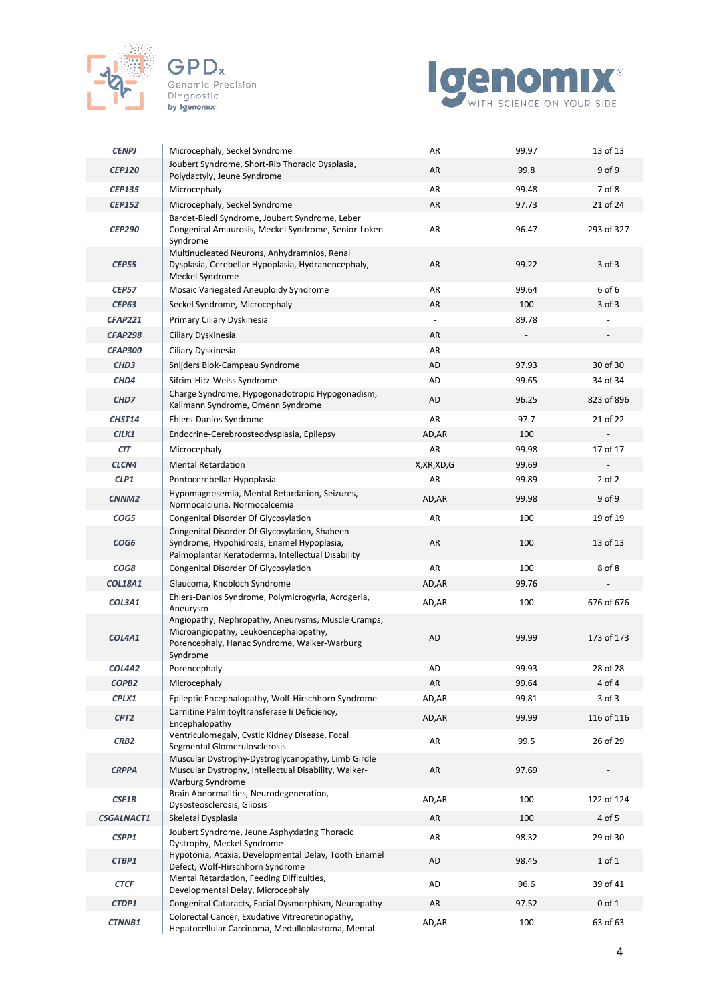



| <b>CENPJ</b>      | Microcephaly, Seckel Syndrome                                                                                                                           | AR                       | 99.97 | 13 of 13   |
|-------------------|---------------------------------------------------------------------------------------------------------------------------------------------------------|--------------------------|-------|------------|
| <b>CEP120</b>     | Joubert Syndrome, Short-Rib Thoracic Dysplasia,<br>Polydactyly, Jeune Syndrome                                                                          | AR                       | 99.8  | $9$ of $9$ |
| <b>CEP135</b>     | Microcephaly                                                                                                                                            | AR                       | 99.48 | 7 of 8     |
| <b>CEP152</b>     | Microcephaly, Seckel Syndrome                                                                                                                           | AR                       | 97.73 | 21 of 24   |
| <b>CEP290</b>     | Bardet-Biedl Syndrome, Joubert Syndrome, Leber<br>Congenital Amaurosis, Meckel Syndrome, Senior-Loken<br>Syndrome                                       | AR                       | 96.47 | 293 of 327 |
| <b>CEP55</b>      | Multinucleated Neurons, Anhydramnios, Renal<br>Dysplasia, Cerebellar Hypoplasia, Hydranencephaly,<br>Meckel Syndrome                                    | AR                       | 99.22 | $3$ of $3$ |
| <b>CEP57</b>      | Mosaic Variegated Aneuploidy Syndrome                                                                                                                   | AR                       | 99.64 | 6 of 6     |
| <b>CEP63</b>      | Seckel Syndrome, Microcephaly                                                                                                                           | AR                       | 100   | $3$ of $3$ |
| <b>CFAP221</b>    | Primary Ciliary Dyskinesia                                                                                                                              | $\overline{\phantom{a}}$ | 89.78 |            |
| <b>CFAP298</b>    | Ciliary Dyskinesia                                                                                                                                      | AR                       |       |            |
| <b>CFAP300</b>    | Ciliary Dyskinesia                                                                                                                                      | AR                       |       |            |
| CHD <sub>3</sub>  | Snijders Blok-Campeau Syndrome                                                                                                                          | AD                       | 97.93 | 30 of 30   |
| CHD4              | Sifrim-Hitz-Weiss Syndrome                                                                                                                              | AD                       | 99.65 | 34 of 34   |
| CHD7              | Charge Syndrome, Hypogonadotropic Hypogonadism,<br>Kallmann Syndrome, Omenn Syndrome                                                                    | AD                       | 96.25 | 823 of 896 |
| CHST14            | Ehlers-Danlos Syndrome                                                                                                                                  | AR                       | 97.7  | 21 of 22   |
| CILK1             | Endocrine-Cerebroosteodysplasia, Epilepsy                                                                                                               | AD, AR                   | 100   |            |
| <b>CIT</b>        | Microcephaly                                                                                                                                            | AR                       | 99.98 | 17 of 17   |
| CLCN4             | <b>Mental Retardation</b>                                                                                                                               | X, XR, XD, G             | 99.69 |            |
| CLP1              | Pontocerebellar Hypoplasia                                                                                                                              | AR                       | 99.89 | $2$ of $2$ |
| CNNM <sub>2</sub> | Hypomagnesemia, Mental Retardation, Seizures,<br>Normocalciuria, Normocalcemia                                                                          | AD, AR                   | 99.98 | 9 of 9     |
| COG5              | Congenital Disorder Of Glycosylation                                                                                                                    | AR                       | 100   | 19 of 19   |
| COG <sub>6</sub>  | Congenital Disorder Of Glycosylation, Shaheen<br>Syndrome, Hypohidrosis, Enamel Hypoplasia,<br>Palmoplantar Keratoderma, Intellectual Disability        | AR                       | 100   | 13 of 13   |
| COG8              | Congenital Disorder Of Glycosylation                                                                                                                    | AR                       | 100   | 8 of 8     |
| <b>COL18A1</b>    | Glaucoma, Knobloch Syndrome                                                                                                                             | AD, AR                   | 99.76 |            |
| COL3A1            | Ehlers-Danlos Syndrome, Polymicrogyria, Acrogeria,<br>Aneurysm                                                                                          | AD,AR                    | 100   | 676 of 676 |
| COL4A1            | Angiopathy, Nephropathy, Aneurysms, Muscle Cramps,<br>Microangiopathy, Leukoencephalopathy,<br>Porencephaly, Hanac Syndrome, Walker-Warburg<br>Syndrome | AD                       | 99.99 | 173 of 173 |
| COL4A2            | Porencephaly                                                                                                                                            | AD                       | 99.93 | 28 of 28   |
| COPB <sub>2</sub> | Microcephaly                                                                                                                                            | AR                       | 99.64 | 4 of 4     |
| CPLX1             | Epileptic Encephalopathy, Wolf-Hirschhorn Syndrome                                                                                                      | AD, AR                   | 99.81 | 3 of 3     |
| CPT <sub>2</sub>  | Carnitine Palmitoyltransferase li Deficiency,<br>Encephalopathy                                                                                         | AD, AR                   | 99.99 | 116 of 116 |
| CRB <sub>2</sub>  | Ventriculomegaly, Cystic Kidney Disease, Focal<br>Segmental Glomerulosclerosis                                                                          | AR                       | 99.5  | 26 of 29   |
| <b>CRPPA</b>      | Muscular Dystrophy-Dystroglycanopathy, Limb Girdle<br>Muscular Dystrophy, Intellectual Disability, Walker-<br><b>Warburg Syndrome</b>                   | AR                       | 97.69 |            |
| CSF1R             | Brain Abnormalities, Neurodegeneration,<br>Dysosteosclerosis, Gliosis                                                                                   | AD, AR                   | 100   | 122 of 124 |
| CSGALNACT1        | Skeletal Dysplasia                                                                                                                                      | AR                       | 100   | 4 of 5     |
| CSPP1             | Joubert Syndrome, Jeune Asphyxiating Thoracic<br>Dystrophy, Meckel Syndrome                                                                             | AR                       | 98.32 | 29 of 30   |
| CTBP1             | Hypotonia, Ataxia, Developmental Delay, Tooth Enamel<br>Defect, Wolf-Hirschhorn Syndrome                                                                | AD                       | 98.45 | 1 of 1     |
| <b>CTCF</b>       | Mental Retardation, Feeding Difficulties,<br>Developmental Delay, Microcephaly                                                                          | AD                       | 96.6  | 39 of 41   |
| CTDP1             | Congenital Cataracts, Facial Dysmorphism, Neuropathy                                                                                                    | AR                       | 97.52 | $0$ of $1$ |
| CTNNB1            | Colorectal Cancer, Exudative Vitreoretinopathy,<br>Hepatocellular Carcinoma, Medulloblastoma, Mental                                                    | AD, AR                   | 100   | 63 of 63   |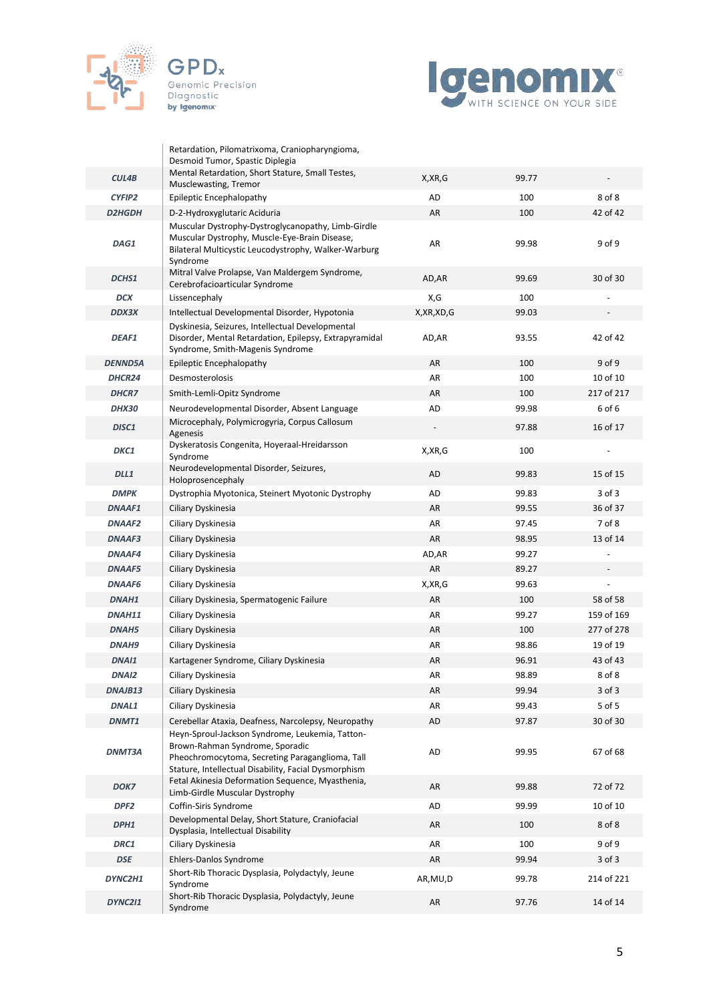



|                  | Retardation, Pilomatrixoma, Craniopharyngioma,                                                                                                                                                |              |       |            |
|------------------|-----------------------------------------------------------------------------------------------------------------------------------------------------------------------------------------------|--------------|-------|------------|
|                  | Desmoid Tumor, Spastic Diplegia<br>Mental Retardation, Short Stature, Small Testes,                                                                                                           |              |       |            |
| CUL4B            | Musclewasting, Tremor                                                                                                                                                                         | X, XR, G     | 99.77 |            |
| CYFIP2           | Epileptic Encephalopathy                                                                                                                                                                      | AD           | 100   | 8 of 8     |
| <b>D2HGDH</b>    | D-2-Hydroxyglutaric Aciduria                                                                                                                                                                  | AR           | 100   | 42 of 42   |
| DAG1             | Muscular Dystrophy-Dystroglycanopathy, Limb-Girdle<br>Muscular Dystrophy, Muscle-Eye-Brain Disease,<br>Bilateral Multicystic Leucodystrophy, Walker-Warburg<br>Syndrome                       | AR           | 99.98 | 9 of 9     |
| DCHS1            | Mitral Valve Prolapse, Van Maldergem Syndrome,<br>Cerebrofacioarticular Syndrome                                                                                                              | AD,AR        | 99.69 | 30 of 30   |
| <b>DCX</b>       | Lissencephaly                                                                                                                                                                                 | X,G          | 100   |            |
| <b>DDX3X</b>     | Intellectual Developmental Disorder, Hypotonia                                                                                                                                                | X, XR, XD, G | 99.03 |            |
| <b>DEAF1</b>     | Dyskinesia, Seizures, Intellectual Developmental<br>Disorder, Mental Retardation, Epilepsy, Extrapyramidal<br>Syndrome, Smith-Magenis Syndrome                                                | AD,AR        | 93.55 | 42 of 42   |
| <b>DENND5A</b>   | Epileptic Encephalopathy                                                                                                                                                                      | AR           | 100   | 9 of 9     |
| DHCR24           | Desmosterolosis                                                                                                                                                                               | AR           | 100   | 10 of 10   |
| <b>DHCR7</b>     | Smith-Lemli-Opitz Syndrome                                                                                                                                                                    | AR           | 100   | 217 of 217 |
| <b>DHX30</b>     | Neurodevelopmental Disorder, Absent Language                                                                                                                                                  | AD           | 99.98 | 6 of 6     |
| DISC1            | Microcephaly, Polymicrogyria, Corpus Callosum<br>Agenesis                                                                                                                                     |              | 97.88 | 16 of 17   |
| DKC1             | Dyskeratosis Congenita, Hoyeraal-Hreidarsson<br>Syndrome                                                                                                                                      | X, XR, G     | 100   |            |
| DLL1             | Neurodevelopmental Disorder, Seizures,<br>Holoprosencephaly                                                                                                                                   | <b>AD</b>    | 99.83 | 15 of 15   |
| <b>DMPK</b>      | Dystrophia Myotonica, Steinert Myotonic Dystrophy                                                                                                                                             | AD           | 99.83 | 3 of 3     |
| <b>DNAAF1</b>    | Ciliary Dyskinesia                                                                                                                                                                            | AR           | 99.55 | 36 of 37   |
| <b>DNAAF2</b>    | Ciliary Dyskinesia                                                                                                                                                                            | AR           | 97.45 | 7 of 8     |
| <b>DNAAF3</b>    | Ciliary Dyskinesia                                                                                                                                                                            | AR           | 98.95 | 13 of 14   |
| <b>DNAAF4</b>    | Ciliary Dyskinesia                                                                                                                                                                            | AD,AR        | 99.27 |            |
| <b>DNAAF5</b>    | Ciliary Dyskinesia                                                                                                                                                                            | AR           | 89.27 |            |
| <b>DNAAF6</b>    | Ciliary Dyskinesia                                                                                                                                                                            | X, XR, G     | 99.63 |            |
| DNAH1            | Ciliary Dyskinesia, Spermatogenic Failure                                                                                                                                                     | AR           | 100   | 58 of 58   |
| DNAH11           | Ciliary Dyskinesia                                                                                                                                                                            | AR           | 99.27 | 159 of 169 |
| DNAH5            | Ciliary Dyskinesia                                                                                                                                                                            | AR           | 100   | 277 of 278 |
| DNAH9            | Ciliary Dyskinesia                                                                                                                                                                            | AR           | 98.86 | 19 of 19   |
| DNAI1            | Kartagener Syndrome, Ciliary Dyskinesia                                                                                                                                                       | AR           | 96.91 | 43 of 43   |
| DNAI2            | Ciliary Dyskinesia                                                                                                                                                                            | AR           | 98.89 | 8 of 8     |
| DNAJB13          | Ciliary Dyskinesia                                                                                                                                                                            | AR           | 99.94 | 3 of 3     |
| DNAL1            | Ciliary Dyskinesia                                                                                                                                                                            | AR           | 99.43 | 5 of 5     |
| DNMT1            | Cerebellar Ataxia, Deafness, Narcolepsy, Neuropathy                                                                                                                                           | <b>AD</b>    | 97.87 | 30 of 30   |
| <b>DNMT3A</b>    | Heyn-Sproul-Jackson Syndrome, Leukemia, Tatton-<br>Brown-Rahman Syndrome, Sporadic<br>Pheochromocytoma, Secreting Paraganglioma, Tall<br>Stature, Intellectual Disability, Facial Dysmorphism | <b>AD</b>    | 99.95 | 67 of 68   |
| DOK7             | Fetal Akinesia Deformation Sequence, Myasthenia,<br>Limb-Girdle Muscular Dystrophy                                                                                                            | AR           | 99.88 | 72 of 72   |
| DPF <sub>2</sub> | Coffin-Siris Syndrome                                                                                                                                                                         | AD           | 99.99 | 10 of 10   |
| DPH1             | Developmental Delay, Short Stature, Craniofacial<br>Dysplasia, Intellectual Disability                                                                                                        | AR           | 100   | 8 of 8     |
| DRC1             | Ciliary Dyskinesia                                                                                                                                                                            | AR           | 100   | 9 of 9     |
| <b>DSE</b>       | Ehlers-Danlos Syndrome                                                                                                                                                                        | AR           | 99.94 | 3 of 3     |
| DYNC2H1          | Short-Rib Thoracic Dysplasia, Polydactyly, Jeune<br>Syndrome                                                                                                                                  | AR, MU, D    | 99.78 | 214 of 221 |
| <b>DYNC211</b>   | Short-Rib Thoracic Dysplasia, Polydactyly, Jeune<br>Syndrome                                                                                                                                  | AR           | 97.76 | 14 of 14   |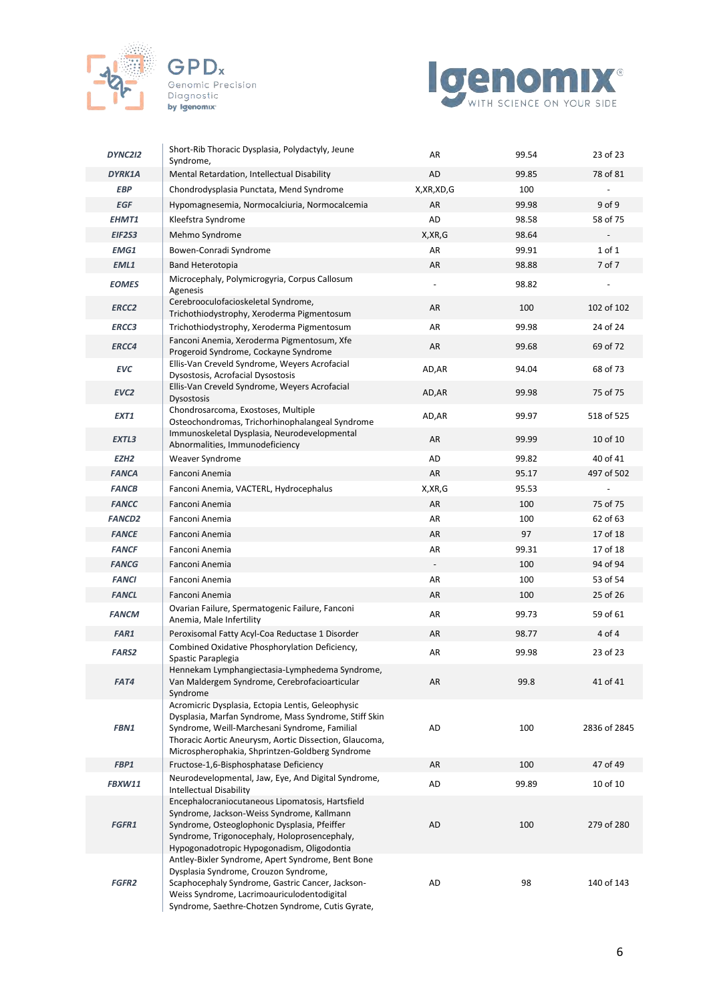





| DYNC2I2           | Short-Rib Thoracic Dysplasia, Polydactyly, Jeune<br>Syndrome,                                                                                                                                                                                                            | AR                       | 99.54 | 23 of 23     |
|-------------------|--------------------------------------------------------------------------------------------------------------------------------------------------------------------------------------------------------------------------------------------------------------------------|--------------------------|-------|--------------|
| DYRK1A            | Mental Retardation, Intellectual Disability                                                                                                                                                                                                                              | AD                       | 99.85 | 78 of 81     |
| <b>EBP</b>        | Chondrodysplasia Punctata, Mend Syndrome                                                                                                                                                                                                                                 | X, XR, XD, G             | 100   |              |
| <b>EGF</b>        | Hypomagnesemia, Normocalciuria, Normocalcemia                                                                                                                                                                                                                            | AR                       | 99.98 | 9 of 9       |
| EHMT1             | Kleefstra Syndrome                                                                                                                                                                                                                                                       | AD                       | 98.58 | 58 of 75     |
| EIF2S3            | Mehmo Syndrome                                                                                                                                                                                                                                                           | X, XR, G                 | 98.64 |              |
| EMG1              | Bowen-Conradi Syndrome                                                                                                                                                                                                                                                   | AR                       | 99.91 | $1$ of $1$   |
| EML1              | <b>Band Heterotopia</b>                                                                                                                                                                                                                                                  | AR                       | 98.88 | 7 of 7       |
| <b>EOMES</b>      | Microcephaly, Polymicrogyria, Corpus Callosum<br>Agenesis                                                                                                                                                                                                                | $\overline{\phantom{a}}$ | 98.82 |              |
| ERCC <sub>2</sub> | Cerebrooculofacioskeletal Syndrome,<br>Trichothiodystrophy, Xeroderma Pigmentosum                                                                                                                                                                                        | AR                       | 100   | 102 of 102   |
| <b>ERCC3</b>      | Trichothiodystrophy, Xeroderma Pigmentosum                                                                                                                                                                                                                               | AR                       | 99.98 | 24 of 24     |
| ERCC4             | Fanconi Anemia, Xeroderma Pigmentosum, Xfe<br>Progeroid Syndrome, Cockayne Syndrome                                                                                                                                                                                      | AR                       | 99.68 | 69 of 72     |
| <b>EVC</b>        | Ellis-Van Creveld Syndrome, Weyers Acrofacial<br>Dysostosis, Acrofacial Dysostosis                                                                                                                                                                                       | AD, AR                   | 94.04 | 68 of 73     |
| EVC <sub>2</sub>  | Ellis-Van Creveld Syndrome, Weyers Acrofacial<br><b>Dysostosis</b>                                                                                                                                                                                                       | AD, AR                   | 99.98 | 75 of 75     |
| EXT1              | Chondrosarcoma, Exostoses, Multiple<br>Osteochondromas, Trichorhinophalangeal Syndrome                                                                                                                                                                                   | AD, AR                   | 99.97 | 518 of 525   |
| EXTL3             | Immunoskeletal Dysplasia, Neurodevelopmental<br>Abnormalities, Immunodeficiency                                                                                                                                                                                          | AR                       | 99.99 | 10 of 10     |
| EZH <sub>2</sub>  | Weaver Syndrome                                                                                                                                                                                                                                                          | AD                       | 99.82 | 40 of 41     |
| <b>FANCA</b>      | Fanconi Anemia                                                                                                                                                                                                                                                           | AR                       | 95.17 | 497 of 502   |
| <b>FANCB</b>      | Fanconi Anemia, VACTERL, Hydrocephalus                                                                                                                                                                                                                                   | X, XR, G                 | 95.53 |              |
| <b>FANCC</b>      | Fanconi Anemia                                                                                                                                                                                                                                                           | AR                       | 100   | 75 of 75     |
| <b>FANCD2</b>     | Fanconi Anemia                                                                                                                                                                                                                                                           | AR                       | 100   | 62 of 63     |
| <b>FANCE</b>      | Fanconi Anemia                                                                                                                                                                                                                                                           | AR                       | 97    | 17 of 18     |
| <b>FANCF</b>      | Fanconi Anemia                                                                                                                                                                                                                                                           | AR                       | 99.31 | 17 of 18     |
| <b>FANCG</b>      | Fanconi Anemia                                                                                                                                                                                                                                                           |                          | 100   | 94 of 94     |
| <b>FANCI</b>      | Fanconi Anemia                                                                                                                                                                                                                                                           | AR                       | 100   | 53 of 54     |
| <b>FANCL</b>      | Fanconi Anemia                                                                                                                                                                                                                                                           | AR                       | 100   | 25 of 26     |
| <b>FANCM</b>      | Ovarian Failure, Spermatogenic Failure, Fanconi<br>Anemia, Male Infertility                                                                                                                                                                                              | AR                       | 99.73 | 59 of 61     |
| FAR1              | Peroxisomal Fatty Acyl-Coa Reductase 1 Disorder                                                                                                                                                                                                                          | AR                       | 98.77 | 4 of 4       |
| <b>FARS2</b>      | Combined Oxidative Phosphorylation Deficiency,<br>Spastic Paraplegia                                                                                                                                                                                                     | AR                       | 99.98 | 23 of 23     |
| FAT4              | Hennekam Lymphangiectasia-Lymphedema Syndrome,<br>Van Maldergem Syndrome, Cerebrofacioarticular<br>Syndrome                                                                                                                                                              | AR                       | 99.8  | 41 of 41     |
| FBN1              | Acromicric Dysplasia, Ectopia Lentis, Geleophysic<br>Dysplasia, Marfan Syndrome, Mass Syndrome, Stiff Skin<br>Syndrome, Weill-Marchesani Syndrome, Familial<br>Thoracic Aortic Aneurysm, Aortic Dissection, Glaucoma,<br>Microspherophakia, Shprintzen-Goldberg Syndrome | AD                       | 100   | 2836 of 2845 |
| FBP1              | Fructose-1,6-Bisphosphatase Deficiency                                                                                                                                                                                                                                   | AR                       | 100   | 47 of 49     |
| FBXW11            | Neurodevelopmental, Jaw, Eye, And Digital Syndrome,<br><b>Intellectual Disability</b>                                                                                                                                                                                    | AD                       | 99.89 | 10 of 10     |
| FGFR1             | Encephalocraniocutaneous Lipomatosis, Hartsfield<br>Syndrome, Jackson-Weiss Syndrome, Kallmann<br>Syndrome, Osteoglophonic Dysplasia, Pfeiffer<br>Syndrome, Trigonocephaly, Holoprosencephaly,<br>Hypogonadotropic Hypogonadism, Oligodontia                             | AD                       | 100   | 279 of 280   |
| <b>FGFR2</b>      | Antley-Bixler Syndrome, Apert Syndrome, Bent Bone<br>Dysplasia Syndrome, Crouzon Syndrome,<br>Scaphocephaly Syndrome, Gastric Cancer, Jackson-<br>Weiss Syndrome, Lacrimoauriculodentodigital<br>Syndrome, Saethre-Chotzen Syndrome, Cutis Gyrate,                       | AD                       | 98    | 140 of 143   |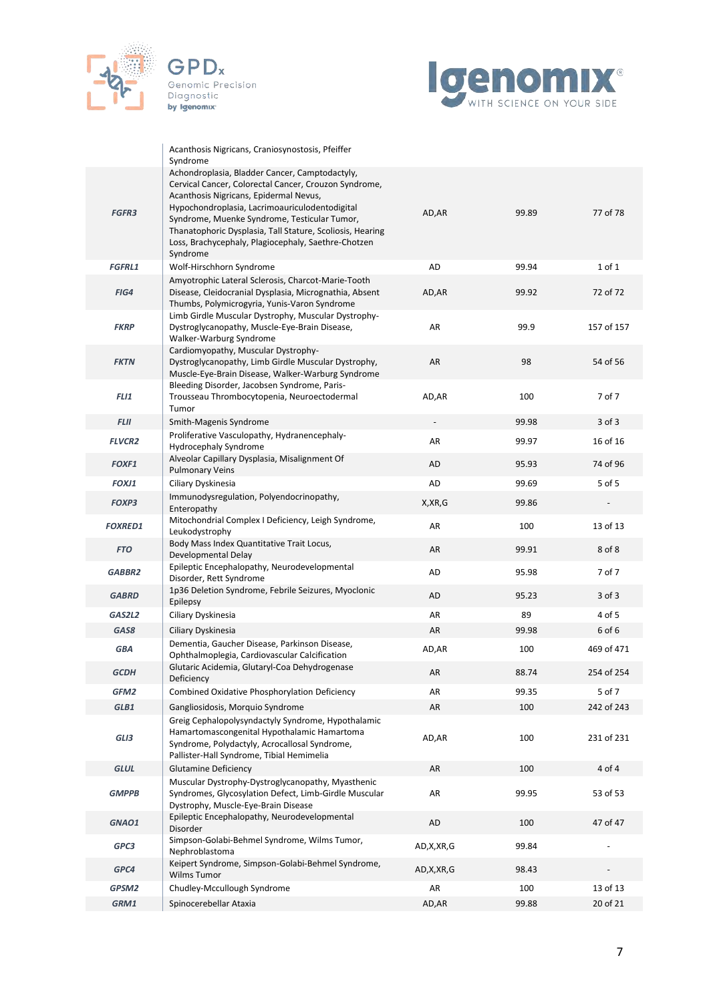



|                | Acanthosis Nigricans, Craniosynostosis, Pfeiffer<br>Syndrome                                                                                                                                                                                                                                                                                                                        |                          |       |            |
|----------------|-------------------------------------------------------------------------------------------------------------------------------------------------------------------------------------------------------------------------------------------------------------------------------------------------------------------------------------------------------------------------------------|--------------------------|-------|------------|
| <b>FGFR3</b>   | Achondroplasia, Bladder Cancer, Camptodactyly,<br>Cervical Cancer, Colorectal Cancer, Crouzon Syndrome,<br>Acanthosis Nigricans, Epidermal Nevus,<br>Hypochondroplasia, Lacrimoauriculodentodigital<br>Syndrome, Muenke Syndrome, Testicular Tumor,<br>Thanatophoric Dysplasia, Tall Stature, Scoliosis, Hearing<br>Loss, Brachycephaly, Plagiocephaly, Saethre-Chotzen<br>Syndrome | AD, AR                   | 99.89 | 77 of 78   |
| <b>FGFRL1</b>  | Wolf-Hirschhorn Syndrome                                                                                                                                                                                                                                                                                                                                                            | AD                       | 99.94 | 1 of 1     |
| FIG4           | Amyotrophic Lateral Sclerosis, Charcot-Marie-Tooth<br>Disease, Cleidocranial Dysplasia, Micrognathia, Absent<br>Thumbs, Polymicrogyria, Yunis-Varon Syndrome                                                                                                                                                                                                                        | AD,AR                    | 99.92 | 72 of 72   |
| <b>FKRP</b>    | Limb Girdle Muscular Dystrophy, Muscular Dystrophy-<br>Dystroglycanopathy, Muscle-Eye-Brain Disease,<br>Walker-Warburg Syndrome                                                                                                                                                                                                                                                     | AR                       | 99.9  | 157 of 157 |
| <b>FKTN</b>    | Cardiomyopathy, Muscular Dystrophy-<br>Dystroglycanopathy, Limb Girdle Muscular Dystrophy,<br>Muscle-Eye-Brain Disease, Walker-Warburg Syndrome                                                                                                                                                                                                                                     | AR                       | 98    | 54 of 56   |
| <b>FLI1</b>    | Bleeding Disorder, Jacobsen Syndrome, Paris-<br>Trousseau Thrombocytopenia, Neuroectodermal<br>Tumor                                                                                                                                                                                                                                                                                | AD, AR                   | 100   | 7 of 7     |
| <b>FLII</b>    | Smith-Magenis Syndrome                                                                                                                                                                                                                                                                                                                                                              | $\overline{\phantom{a}}$ | 99.98 | $3$ of $3$ |
| <b>FLVCR2</b>  | Proliferative Vasculopathy, Hydranencephaly-<br><b>Hydrocephaly Syndrome</b>                                                                                                                                                                                                                                                                                                        | AR                       | 99.97 | 16 of 16   |
| <b>FOXF1</b>   | Alveolar Capillary Dysplasia, Misalignment Of<br><b>Pulmonary Veins</b>                                                                                                                                                                                                                                                                                                             | AD                       | 95.93 | 74 of 96   |
| FOXJ1          | Ciliary Dyskinesia                                                                                                                                                                                                                                                                                                                                                                  | AD                       | 99.69 | 5 of 5     |
| <b>FOXP3</b>   | Immunodysregulation, Polyendocrinopathy,<br>Enteropathy                                                                                                                                                                                                                                                                                                                             | X,XR,G                   | 99.86 |            |
| <b>FOXRED1</b> | Mitochondrial Complex I Deficiency, Leigh Syndrome,<br>Leukodystrophy                                                                                                                                                                                                                                                                                                               | AR                       | 100   | 13 of 13   |
| <b>FTO</b>     | Body Mass Index Quantitative Trait Locus,<br>Developmental Delay                                                                                                                                                                                                                                                                                                                    | AR                       | 99.91 | 8 of 8     |
| GABBR2         | Epileptic Encephalopathy, Neurodevelopmental<br>Disorder, Rett Syndrome                                                                                                                                                                                                                                                                                                             | AD                       | 95.98 | 7 of 7     |
| <b>GABRD</b>   | 1p36 Deletion Syndrome, Febrile Seizures, Myoclonic<br>Epilepsy                                                                                                                                                                                                                                                                                                                     | AD                       | 95.23 | $3$ of $3$ |
| GAS2L2         | Ciliary Dyskinesia                                                                                                                                                                                                                                                                                                                                                                  | AR                       | 89    | 4 of 5     |
| GAS8           | Ciliary Dyskinesia                                                                                                                                                                                                                                                                                                                                                                  | AR                       | 99.98 | 6 of 6     |
| <b>GBA</b>     | Dementia, Gaucher Disease, Parkinson Disease,<br>Ophthalmoplegia, Cardiovascular Calcification                                                                                                                                                                                                                                                                                      | AD, AR                   | 100   | 469 of 471 |
| <b>GCDH</b>    | Glutaric Acidemia, Glutaryl-Coa Dehydrogenase<br>Deficiency                                                                                                                                                                                                                                                                                                                         | AR                       | 88.74 | 254 of 254 |
| GFM2           | Combined Oxidative Phosphorylation Deficiency                                                                                                                                                                                                                                                                                                                                       | AR                       | 99.35 | 5 of 7     |
| GLB1           | Gangliosidosis, Morquio Syndrome                                                                                                                                                                                                                                                                                                                                                    | AR                       | 100   | 242 of 243 |
| GLI3           | Greig Cephalopolysyndactyly Syndrome, Hypothalamic<br>Hamartomascongenital Hypothalamic Hamartoma<br>Syndrome, Polydactyly, Acrocallosal Syndrome,<br>Pallister-Hall Syndrome, Tibial Hemimelia                                                                                                                                                                                     | AD, AR                   | 100   | 231 of 231 |
| <b>GLUL</b>    | <b>Glutamine Deficiency</b>                                                                                                                                                                                                                                                                                                                                                         | AR                       | 100   | 4 of 4     |
| <b>GMPPB</b>   | Muscular Dystrophy-Dystroglycanopathy, Myasthenic<br>Syndromes, Glycosylation Defect, Limb-Girdle Muscular<br>Dystrophy, Muscle-Eye-Brain Disease                                                                                                                                                                                                                                   | AR                       | 99.95 | 53 of 53   |
| GNAO1          | Epileptic Encephalopathy, Neurodevelopmental<br>Disorder                                                                                                                                                                                                                                                                                                                            | AD                       | 100   | 47 of 47   |
| GPC3           | Simpson-Golabi-Behmel Syndrome, Wilms Tumor,<br>Nephroblastoma                                                                                                                                                                                                                                                                                                                      | AD, X, XR, G             | 99.84 |            |
| GPC4           | Keipert Syndrome, Simpson-Golabi-Behmel Syndrome,<br>Wilms Tumor                                                                                                                                                                                                                                                                                                                    | AD, X, XR, G             | 98.43 |            |
| GPSM2          | Chudley-Mccullough Syndrome                                                                                                                                                                                                                                                                                                                                                         | AR                       | 100   | 13 of 13   |
| GRM1           | Spinocerebellar Ataxia                                                                                                                                                                                                                                                                                                                                                              | AD,AR                    | 99.88 | 20 of 21   |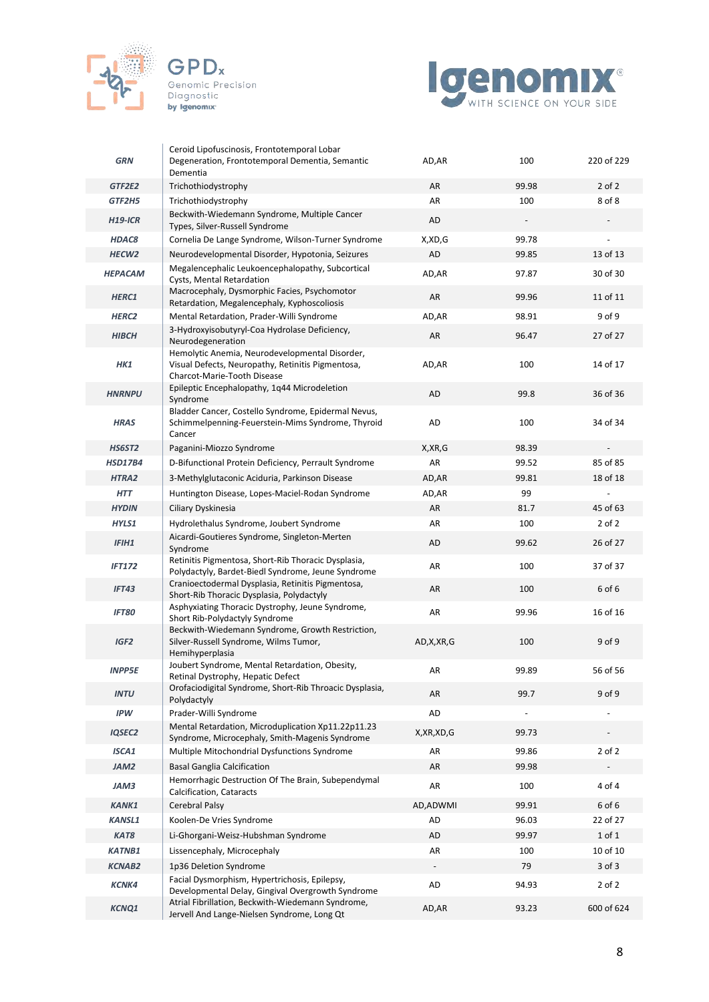





| <b>GRN</b>               | Ceroid Lipofuscinosis, Frontotemporal Lobar<br>Degeneration, Frontotemporal Dementia, Semantic                                     | AD, AR       | 100                             | 220 of 229 |
|--------------------------|------------------------------------------------------------------------------------------------------------------------------------|--------------|---------------------------------|------------|
| GTF2E2                   | Dementia                                                                                                                           | AR           | 99.98                           | $2$ of $2$ |
|                          | Trichothiodystrophy                                                                                                                | AR           |                                 | 8 of 8     |
| GTF2H5<br><b>H19-ICR</b> | Trichothiodystrophy<br>Beckwith-Wiedemann Syndrome, Multiple Cancer                                                                | AD           | 100<br>$\overline{\phantom{a}}$ |            |
|                          | Types, Silver-Russell Syndrome                                                                                                     |              |                                 |            |
| <b>HDAC8</b>             | Cornelia De Lange Syndrome, Wilson-Turner Syndrome                                                                                 | X,XD,G       | 99.78                           |            |
| HECW <sub>2</sub>        | Neurodevelopmental Disorder, Hypotonia, Seizures                                                                                   | AD           | 99.85                           | 13 of 13   |
| <b>HEPACAM</b>           | Megalencephalic Leukoencephalopathy, Subcortical<br>Cysts, Mental Retardation                                                      | AD, AR       | 97.87                           | 30 of 30   |
| HERC1                    | Macrocephaly, Dysmorphic Facies, Psychomotor<br>Retardation, Megalencephaly, Kyphoscoliosis                                        | AR           | 99.96                           | 11 of 11   |
| HERC <sub>2</sub>        | Mental Retardation, Prader-Willi Syndrome                                                                                          | AD, AR       | 98.91                           | 9 of 9     |
| <b>HIBCH</b>             | 3-Hydroxyisobutyryl-Coa Hydrolase Deficiency,<br>Neurodegeneration                                                                 | AR           | 96.47                           | 27 of 27   |
| HK1                      | Hemolytic Anemia, Neurodevelopmental Disorder,<br>Visual Defects, Neuropathy, Retinitis Pigmentosa,<br>Charcot-Marie-Tooth Disease | AD, AR       | 100                             | 14 of 17   |
| <b>HNRNPU</b>            | Epileptic Encephalopathy, 1q44 Microdeletion<br>Syndrome                                                                           | AD           | 99.8                            | 36 of 36   |
| <b>HRAS</b>              | Bladder Cancer, Costello Syndrome, Epidermal Nevus,<br>Schimmelpenning-Feuerstein-Mims Syndrome, Thyroid<br>Cancer                 | AD           | 100                             | 34 of 34   |
| <b>HS6ST2</b>            | Paganini-Miozzo Syndrome                                                                                                           | X, XR, G     | 98.39                           |            |
| <b>HSD17B4</b>           | D-Bifunctional Protein Deficiency, Perrault Syndrome                                                                               | AR           | 99.52                           | 85 of 85   |
| HTRA2                    | 3-Methylglutaconic Aciduria, Parkinson Disease                                                                                     | AD, AR       | 99.81                           | 18 of 18   |
| <b>HTT</b>               | Huntington Disease, Lopes-Maciel-Rodan Syndrome                                                                                    | AD,AR        | 99                              |            |
| <b>HYDIN</b>             | Ciliary Dyskinesia                                                                                                                 | AR           | 81.7                            | 45 of 63   |
| HYLS1                    | Hydrolethalus Syndrome, Joubert Syndrome                                                                                           | AR           | 100                             | $2$ of $2$ |
| <b>IFIH1</b>             | Aicardi-Goutieres Syndrome, Singleton-Merten<br>Syndrome                                                                           | AD           | 99.62                           | 26 of 27   |
| <b>IFT172</b>            | Retinitis Pigmentosa, Short-Rib Thoracic Dysplasia,<br>Polydactyly, Bardet-Biedl Syndrome, Jeune Syndrome                          | AR           | 100                             | 37 of 37   |
| <b>IFT43</b>             | Cranioectodermal Dysplasia, Retinitis Pigmentosa,<br>Short-Rib Thoracic Dysplasia, Polydactyly                                     | AR           | 100                             | 6 of 6     |
| <b>IFT80</b>             | Asphyxiating Thoracic Dystrophy, Jeune Syndrome,<br>Short Rib-Polydactyly Syndrome                                                 | AR           | 99.96                           | 16 of 16   |
| IGF <sub>2</sub>         | Beckwith-Wiedemann Syndrome, Growth Restriction,<br>Silver-Russell Syndrome, Wilms Tumor,<br>Hemihyperplasia                       | AD, X, XR, G | 100                             | 9 of 9     |
| <b>INPP5E</b>            | Joubert Syndrome, Mental Retardation, Obesity,<br>Retinal Dystrophy, Hepatic Defect                                                | AR           | 99.89                           | 56 of 56   |
| <b>INTU</b>              | Orofaciodigital Syndrome, Short-Rib Throacic Dysplasia,<br>Polydactyly                                                             | AR           | 99.7                            | 9 of 9     |
| <b>IPW</b>               | Prader-Willi Syndrome                                                                                                              | AD           | $\overline{a}$                  |            |
| <b>IQSEC2</b>            | Mental Retardation, Microduplication Xp11.22p11.23<br>Syndrome, Microcephaly, Smith-Magenis Syndrome                               | X, XR, XD, G | 99.73                           |            |
| ISCA1                    | Multiple Mitochondrial Dysfunctions Syndrome                                                                                       | AR           | 99.86                           | $2$ of $2$ |
| JAM2                     | <b>Basal Ganglia Calcification</b>                                                                                                 | AR           | 99.98                           |            |
| JAM3                     | Hemorrhagic Destruction Of The Brain, Subependymal<br>Calcification, Cataracts                                                     | AR           | 100                             | 4 of 4     |
| <b>KANK1</b>             | Cerebral Palsy                                                                                                                     | AD, ADWMI    | 99.91                           | 6 of 6     |
| <b>KANSL1</b>            | Koolen-De Vries Syndrome                                                                                                           | AD           | 96.03                           | 22 of 27   |
| KAT8                     | Li-Ghorgani-Weisz-Hubshman Syndrome                                                                                                | AD           | 99.97                           | 1 of 1     |
| <b>KATNB1</b>            | Lissencephaly, Microcephaly                                                                                                        | AR           | 100                             | 10 of 10   |
| <b>KCNAB2</b>            | 1p36 Deletion Syndrome                                                                                                             |              | 79                              | $3$ of $3$ |
| <b>KCNK4</b>             | Facial Dysmorphism, Hypertrichosis, Epilepsy,<br>Developmental Delay, Gingival Overgrowth Syndrome                                 | AD           | 94.93                           | $2$ of $2$ |
| <b>KCNQ1</b>             | Atrial Fibrillation, Beckwith-Wiedemann Syndrome,<br>Jervell And Lange-Nielsen Syndrome, Long Qt                                   | AD, AR       | 93.23                           | 600 of 624 |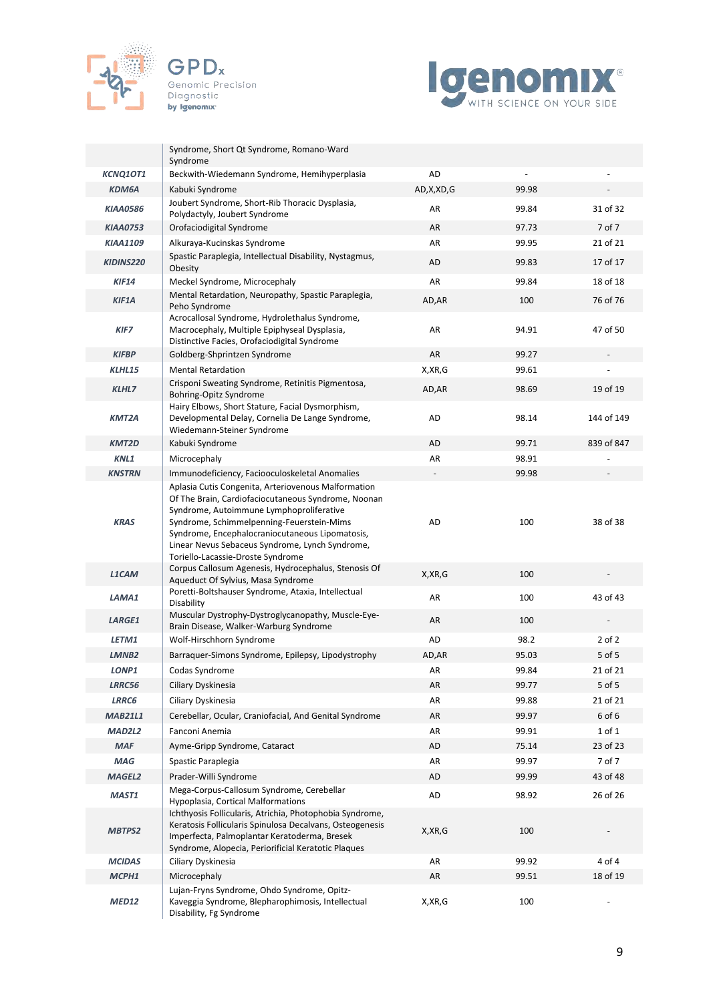





|                        | Syndrome, Short Qt Syndrome, Romano-Ward<br>Syndrome                                                                                                                                                                                                                                                                                           |              |              |            |
|------------------------|------------------------------------------------------------------------------------------------------------------------------------------------------------------------------------------------------------------------------------------------------------------------------------------------------------------------------------------------|--------------|--------------|------------|
| <b>KCNQ1OT1</b>        | Beckwith-Wiedemann Syndrome, Hemihyperplasia                                                                                                                                                                                                                                                                                                   | AD           |              |            |
| <b>KDM6A</b>           | Kabuki Syndrome                                                                                                                                                                                                                                                                                                                                | AD,X,XD,G    | 99.98        |            |
| <b>KIAA0586</b>        | Joubert Syndrome, Short-Rib Thoracic Dysplasia,<br>Polydactyly, Joubert Syndrome                                                                                                                                                                                                                                                               | AR           | 99.84        | 31 of 32   |
| <b>KIAA0753</b>        | Orofaciodigital Syndrome                                                                                                                                                                                                                                                                                                                       | AR           | 97.73        | 7 of 7     |
| <b>KIAA1109</b>        | Alkuraya-Kucinskas Syndrome                                                                                                                                                                                                                                                                                                                    | AR           | 99.95        | 21 of 21   |
| KIDINS220              | Spastic Paraplegia, Intellectual Disability, Nystagmus,<br>Obesity                                                                                                                                                                                                                                                                             | AD           | 99.83        | 17 of 17   |
| <b>KIF14</b>           | Meckel Syndrome, Microcephaly                                                                                                                                                                                                                                                                                                                  | AR           | 99.84        | 18 of 18   |
| KIF1A                  | Mental Retardation, Neuropathy, Spastic Paraplegia,<br>Peho Syndrome                                                                                                                                                                                                                                                                           | AD, AR       | 100          | 76 of 76   |
| <b>KIF7</b>            | Acrocallosal Syndrome, Hydrolethalus Syndrome,<br>Macrocephaly, Multiple Epiphyseal Dysplasia,<br>Distinctive Facies, Orofaciodigital Syndrome                                                                                                                                                                                                 | AR           | 94.91        | 47 of 50   |
| <b>KIFBP</b>           | Goldberg-Shprintzen Syndrome                                                                                                                                                                                                                                                                                                                   | AR           | 99.27        |            |
| KLHL15                 | <b>Mental Retardation</b>                                                                                                                                                                                                                                                                                                                      | X, XR, G     | 99.61        |            |
| <b>KLHL7</b>           | Crisponi Sweating Syndrome, Retinitis Pigmentosa,<br>Bohring-Opitz Syndrome                                                                                                                                                                                                                                                                    | AD, AR       | 98.69        | 19 of 19   |
| KMT2A                  | Hairy Elbows, Short Stature, Facial Dysmorphism,<br>Developmental Delay, Cornelia De Lange Syndrome,<br>Wiedemann-Steiner Syndrome                                                                                                                                                                                                             | AD           | 98.14        | 144 of 149 |
| <b>KMT2D</b>           | Kabuki Syndrome                                                                                                                                                                                                                                                                                                                                | AD           | 99.71        | 839 of 847 |
| KNL1                   | Microcephaly                                                                                                                                                                                                                                                                                                                                   | AR           | 98.91        |            |
| <b>KNSTRN</b>          | Immunodeficiency, Faciooculoskeletal Anomalies                                                                                                                                                                                                                                                                                                 |              | 99.98        |            |
| <b>KRAS</b>            | Aplasia Cutis Congenita, Arteriovenous Malformation<br>Of The Brain, Cardiofaciocutaneous Syndrome, Noonan<br>Syndrome, Autoimmune Lymphoproliferative<br>Syndrome, Schimmelpenning-Feuerstein-Mims<br>Syndrome, Encephalocraniocutaneous Lipomatosis,<br>Linear Nevus Sebaceus Syndrome, Lynch Syndrome,<br>Toriello-Lacassie-Droste Syndrome | AD           | 100          | 38 of 38   |
| <b>L1CAM</b>           | Corpus Callosum Agenesis, Hydrocephalus, Stenosis Of<br>Aqueduct Of Sylvius, Masa Syndrome                                                                                                                                                                                                                                                     | X, XR, G     | 100          |            |
| LAMA1                  | Poretti-Boltshauser Syndrome, Ataxia, Intellectual<br>Disability                                                                                                                                                                                                                                                                               | AR           | 100          | 43 of 43   |
| <b>LARGE1</b>          | Muscular Dystrophy-Dystroglycanopathy, Muscle-Eye-<br>Brain Disease, Walker-Warburg Syndrome                                                                                                                                                                                                                                                   | AR           | 100          |            |
| LETM1                  | Wolf-Hirschhorn Syndrome                                                                                                                                                                                                                                                                                                                       | AD           | 98.2         | $2$ of $2$ |
| LMNB <sub>2</sub>      | Barraquer-Simons Syndrome, Epilepsy, Lipodystrophy                                                                                                                                                                                                                                                                                             | AD, AR       | 95.03        | 5 of 5     |
| LONP1                  | Codas Syndrome                                                                                                                                                                                                                                                                                                                                 | AR           | 99.84        | 21 of 21   |
| LRRC56                 | Ciliary Dyskinesia                                                                                                                                                                                                                                                                                                                             | AR           | 99.77        | 5 of 5     |
| <b>LRRC6</b>           | Ciliary Dyskinesia                                                                                                                                                                                                                                                                                                                             | AR           | 99.88        | 21 of 21   |
| <b>MAB21L1</b>         | Cerebellar, Ocular, Craniofacial, And Genital Syndrome                                                                                                                                                                                                                                                                                         | AR           | 99.97        | 6 of 6     |
| <b>MAD2L2</b>          | Fanconi Anemia                                                                                                                                                                                                                                                                                                                                 | AR           | 99.91        | 1 of 1     |
| <b>MAF</b>             | Ayme-Gripp Syndrome, Cataract                                                                                                                                                                                                                                                                                                                  | AD           | 75.14        | 23 of 23   |
| MAG                    | Spastic Paraplegia                                                                                                                                                                                                                                                                                                                             | AR           | 99.97        | 7 of 7     |
| <b>MAGEL2</b>          | Prader-Willi Syndrome                                                                                                                                                                                                                                                                                                                          | AD           | 99.99        | 43 of 48   |
| MAST1<br><b>MBTPS2</b> | Mega-Corpus-Callosum Syndrome, Cerebellar<br>Hypoplasia, Cortical Malformations<br>Ichthyosis Follicularis, Atrichia, Photophobia Syndrome,<br>Keratosis Follicularis Spinulosa Decalvans, Osteogenesis<br>Imperfecta, Palmoplantar Keratoderma, Bresek                                                                                        | AD<br>X,XR,G | 98.92<br>100 | 26 of 26   |
|                        | Syndrome, Alopecia, Periorificial Keratotic Plaques                                                                                                                                                                                                                                                                                            |              |              |            |
| <b>MCIDAS</b>          | Ciliary Dyskinesia                                                                                                                                                                                                                                                                                                                             | AR           | 99.92        | 4 of 4     |
| MCPH1                  | Microcephaly                                                                                                                                                                                                                                                                                                                                   | AR           | 99.51        | 18 of 19   |
| MED12                  | Lujan-Fryns Syndrome, Ohdo Syndrome, Opitz-<br>Kaveggia Syndrome, Blepharophimosis, Intellectual<br>Disability, Fg Syndrome                                                                                                                                                                                                                    | X,XR,G       | 100          |            |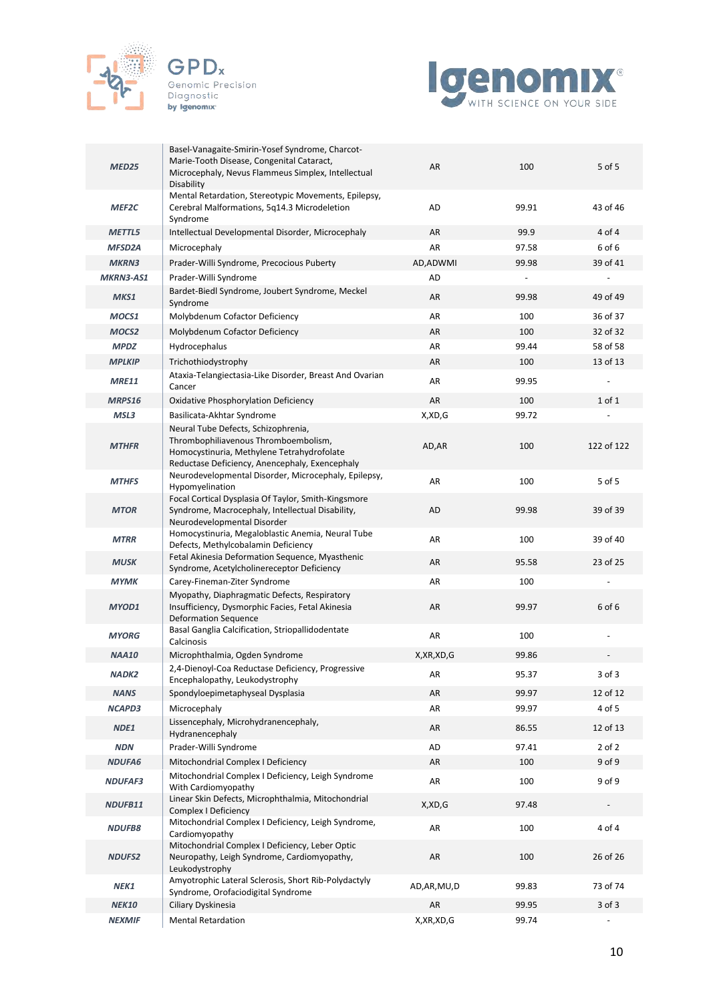



| MED25             | Basel-Vanagaite-Smirin-Yosef Syndrome, Charcot-<br>Marie-Tooth Disease, Congenital Cataract,<br>Microcephaly, Nevus Flammeus Simplex, Intellectual<br>Disability            | AR            | 100   | 5 of 5     |
|-------------------|-----------------------------------------------------------------------------------------------------------------------------------------------------------------------------|---------------|-------|------------|
| MEF <sub>2C</sub> | Mental Retardation, Stereotypic Movements, Epilepsy,<br>Cerebral Malformations, 5q14.3 Microdeletion<br>Syndrome                                                            | AD            | 99.91 | 43 of 46   |
| <b>METTL5</b>     | Intellectual Developmental Disorder, Microcephaly                                                                                                                           | AR            | 99.9  | 4 of 4     |
| <b>MFSD2A</b>     | Microcephaly                                                                                                                                                                | AR            | 97.58 | 6 of 6     |
| <b>MKRN3</b>      | Prader-Willi Syndrome, Precocious Puberty                                                                                                                                   | AD, ADWMI     | 99.98 | 39 of 41   |
| <b>MKRN3-AS1</b>  | Prader-Willi Syndrome                                                                                                                                                       | AD            |       |            |
| MKS1              | Bardet-Biedl Syndrome, Joubert Syndrome, Meckel<br>Syndrome                                                                                                                 | AR            | 99.98 | 49 of 49   |
| MOCS1             | Molybdenum Cofactor Deficiency                                                                                                                                              | AR            | 100   | 36 of 37   |
| MOCS <sub>2</sub> | Molybdenum Cofactor Deficiency                                                                                                                                              | AR            | 100   | 32 of 32   |
| <b>MPDZ</b>       | Hydrocephalus                                                                                                                                                               | AR            | 99.44 | 58 of 58   |
| <b>MPLKIP</b>     | Trichothiodystrophy                                                                                                                                                         | AR            | 100   | 13 of 13   |
| <b>MRE11</b>      | Ataxia-Telangiectasia-Like Disorder, Breast And Ovarian<br>Cancer                                                                                                           | AR            | 99.95 |            |
| MRPS16            | Oxidative Phosphorylation Deficiency                                                                                                                                        | AR            | 100   | $1$ of $1$ |
| MSL3              | Basilicata-Akhtar Syndrome                                                                                                                                                  | X,XD,G        | 99.72 |            |
| <b>MTHFR</b>      | Neural Tube Defects, Schizophrenia,<br>Thrombophiliavenous Thromboembolism,<br>Homocystinuria, Methylene Tetrahydrofolate<br>Reductase Deficiency, Anencephaly, Exencephaly | AD, AR        | 100   | 122 of 122 |
| <b>MTHFS</b>      | Neurodevelopmental Disorder, Microcephaly, Epilepsy,<br>Hypomyelination                                                                                                     | AR            | 100   | 5 of 5     |
| <b>MTOR</b>       | Focal Cortical Dysplasia Of Taylor, Smith-Kingsmore<br>Syndrome, Macrocephaly, Intellectual Disability,<br>Neurodevelopmental Disorder                                      | AD            | 99.98 | 39 of 39   |
| <b>MTRR</b>       | Homocystinuria, Megaloblastic Anemia, Neural Tube<br>Defects, Methylcobalamin Deficiency                                                                                    | AR            | 100   | 39 of 40   |
| <b>MUSK</b>       | Fetal Akinesia Deformation Sequence, Myasthenic<br>Syndrome, Acetylcholinereceptor Deficiency                                                                               | AR            | 95.58 | 23 of 25   |
| <b>MYMK</b>       | Carey-Fineman-Ziter Syndrome                                                                                                                                                | AR            | 100   |            |
| <b>MYOD1</b>      | Myopathy, Diaphragmatic Defects, Respiratory<br>Insufficiency, Dysmorphic Facies, Fetal Akinesia<br><b>Deformation Sequence</b>                                             | AR            | 99.97 | 6 of 6     |
| <b>MYORG</b>      | Basal Ganglia Calcification, Striopallidodentate<br>Calcinosis                                                                                                              | AR            | 100   |            |
| NAA10             | Microphthalmia, Ogden Syndrome                                                                                                                                              | X, XR, XD, G  | 99.86 |            |
| <b>NADK2</b>      | 2,4-Dienoyl-Coa Reductase Deficiency, Progressive<br>Encephalopathy, Leukodystrophy                                                                                         | AR            | 95.37 | 3 of 3     |
| <b>NANS</b>       | Spondyloepimetaphyseal Dysplasia                                                                                                                                            | AR            | 99.97 | 12 of 12   |
| <b>NCAPD3</b>     | Microcephaly                                                                                                                                                                | AR            | 99.97 | 4 of 5     |
| NDE1              | Lissencephaly, Microhydranencephaly,<br>Hydranencephaly                                                                                                                     | AR            | 86.55 | 12 of 13   |
| <b>NDN</b>        | Prader-Willi Syndrome                                                                                                                                                       | AD            | 97.41 | $2$ of $2$ |
| <b>NDUFA6</b>     | Mitochondrial Complex I Deficiency                                                                                                                                          | AR            | 100   | 9 of 9     |
| <b>NDUFAF3</b>    | Mitochondrial Complex I Deficiency, Leigh Syndrome<br>With Cardiomyopathy                                                                                                   | AR            | 100   | 9 of 9     |
| NDUFB11           | Linear Skin Defects, Microphthalmia, Mitochondrial<br>Complex I Deficiency                                                                                                  | X,XD,G        | 97.48 |            |
| <b>NDUFB8</b>     | Mitochondrial Complex I Deficiency, Leigh Syndrome,<br>Cardiomyopathy                                                                                                       | AR            | 100   | 4 of 4     |
| <b>NDUFS2</b>     | Mitochondrial Complex I Deficiency, Leber Optic<br>Neuropathy, Leigh Syndrome, Cardiomyopathy,<br>Leukodystrophy                                                            | AR            | 100   | 26 of 26   |
| NEK1              | Amyotrophic Lateral Sclerosis, Short Rib-Polydactyly<br>Syndrome, Orofaciodigital Syndrome                                                                                  | AD, AR, MU, D | 99.83 | 73 of 74   |
| <b>NEK10</b>      | Ciliary Dyskinesia                                                                                                                                                          | AR            | 99.95 | $3$ of $3$ |
| <b>NEXMIF</b>     | <b>Mental Retardation</b>                                                                                                                                                   | X, XR, XD, G  | 99.74 |            |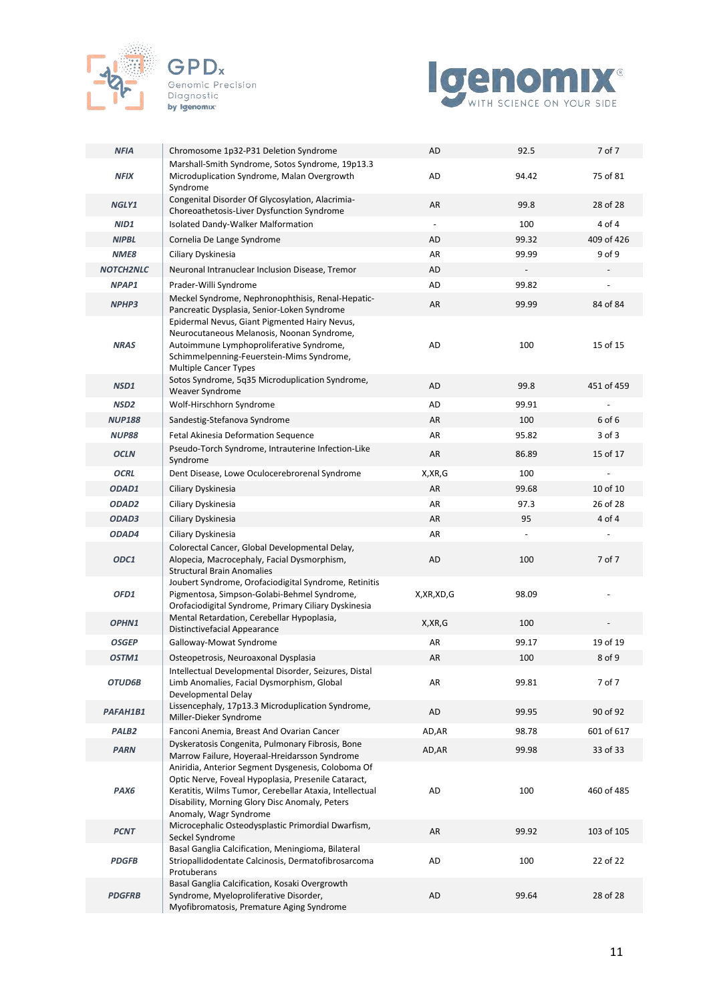



| <b>NFIA</b>       | Chromosome 1p32-P31 Deletion Syndrome                                                                                                                                                                                  | AD                       | 92.5  | 7 of 7     |
|-------------------|------------------------------------------------------------------------------------------------------------------------------------------------------------------------------------------------------------------------|--------------------------|-------|------------|
| <b>NFIX</b>       | Marshall-Smith Syndrome, Sotos Syndrome, 19p13.3<br>Microduplication Syndrome, Malan Overgrowth<br>Syndrome                                                                                                            | AD                       | 94.42 | 75 of 81   |
| NGLY1             | Congenital Disorder Of Glycosylation, Alacrimia-<br>Choreoathetosis-Liver Dysfunction Syndrome                                                                                                                         | AR                       | 99.8  | 28 of 28   |
| NID1              | Isolated Dandy-Walker Malformation                                                                                                                                                                                     | $\overline{\phantom{a}}$ | 100   | 4 of 4     |
| <b>NIPBL</b>      | Cornelia De Lange Syndrome                                                                                                                                                                                             | AD                       | 99.32 | 409 of 426 |
| NME8              | Ciliary Dyskinesia                                                                                                                                                                                                     | AR                       | 99.99 | 9 of 9     |
| <b>NOTCH2NLC</b>  | Neuronal Intranuclear Inclusion Disease, Tremor                                                                                                                                                                        | AD                       |       |            |
| NPAP1             | Prader-Willi Syndrome                                                                                                                                                                                                  | AD                       | 99.82 |            |
| NPHP3             | Meckel Syndrome, Nephronophthisis, Renal-Hepatic-<br>Pancreatic Dysplasia, Senior-Loken Syndrome                                                                                                                       | AR                       | 99.99 | 84 of 84   |
| <b>NRAS</b>       | Epidermal Nevus, Giant Pigmented Hairy Nevus,<br>Neurocutaneous Melanosis, Noonan Syndrome,<br>Autoimmune Lymphoproliferative Syndrome,<br>Schimmelpenning-Feuerstein-Mims Syndrome,<br><b>Multiple Cancer Types</b>   | AD                       | 100   | 15 of 15   |
| NSD1              | Sotos Syndrome, 5q35 Microduplication Syndrome,<br>Weaver Syndrome                                                                                                                                                     | AD                       | 99.8  | 451 of 459 |
| NSD <sub>2</sub>  | Wolf-Hirschhorn Syndrome                                                                                                                                                                                               | AD                       | 99.91 |            |
| <b>NUP188</b>     | Sandestig-Stefanova Syndrome                                                                                                                                                                                           | AR                       | 100   | 6 of 6     |
| <b>NUP88</b>      | Fetal Akinesia Deformation Sequence                                                                                                                                                                                    | AR                       | 95.82 | $3$ of $3$ |
| <b>OCLN</b>       | Pseudo-Torch Syndrome, Intrauterine Infection-Like<br>Syndrome                                                                                                                                                         | AR                       | 86.89 | 15 of 17   |
| <b>OCRL</b>       | Dent Disease, Lowe Oculocerebrorenal Syndrome                                                                                                                                                                          | X, XR, G                 | 100   |            |
| ODAD1             | Ciliary Dyskinesia                                                                                                                                                                                                     | AR                       | 99.68 | 10 of 10   |
| ODAD <sub>2</sub> | Ciliary Dyskinesia                                                                                                                                                                                                     | AR                       | 97.3  | 26 of 28   |
| ODAD3             | Ciliary Dyskinesia                                                                                                                                                                                                     | AR                       | 95    | 4 of 4     |
|                   |                                                                                                                                                                                                                        |                          |       |            |
| ODAD4             | Ciliary Dyskinesia                                                                                                                                                                                                     | AR                       |       |            |
| ODC1              | Colorectal Cancer, Global Developmental Delay,<br>Alopecia, Macrocephaly, Facial Dysmorphism,<br><b>Structural Brain Anomalies</b>                                                                                     | <b>AD</b>                | 100   | 7 of 7     |
| OFD1              | Joubert Syndrome, Orofaciodigital Syndrome, Retinitis<br>Pigmentosa, Simpson-Golabi-Behmel Syndrome,<br>Orofaciodigital Syndrome, Primary Ciliary Dyskinesia                                                           | X, XR, XD, G             | 98.09 |            |
| OPHN1             | Mental Retardation, Cerebellar Hypoplasia,<br>Distinctivefacial Appearance                                                                                                                                             | X,XR,G                   | 100   |            |
| <b>OSGEP</b>      | Galloway-Mowat Syndrome                                                                                                                                                                                                | AR                       | 99.17 | 19 of 19   |
| OSTM1             | Osteopetrosis, Neuroaxonal Dysplasia                                                                                                                                                                                   | AR                       | 100   | 8 of 9     |
| OTUD6B            | Intellectual Developmental Disorder, Seizures, Distal<br>Limb Anomalies, Facial Dysmorphism, Global<br>Developmental Delay                                                                                             | AR                       | 99.81 | 7 of 7     |
| PAFAH1B1          | Lissencephaly, 17p13.3 Microduplication Syndrome,<br>Miller-Dieker Syndrome                                                                                                                                            | AD                       | 99.95 | 90 of 92   |
| PALB <sub>2</sub> | Fanconi Anemia, Breast And Ovarian Cancer                                                                                                                                                                              | AD,AR                    | 98.78 | 601 of 617 |
| <b>PARN</b>       | Dyskeratosis Congenita, Pulmonary Fibrosis, Bone<br>Marrow Failure, Hoyeraal-Hreidarsson Syndrome                                                                                                                      | AD, AR                   | 99.98 | 33 of 33   |
| PAX6              | Aniridia, Anterior Segment Dysgenesis, Coloboma Of<br>Optic Nerve, Foveal Hypoplasia, Presenile Cataract,<br>Keratitis, Wilms Tumor, Cerebellar Ataxia, Intellectual<br>Disability, Morning Glory Disc Anomaly, Peters | AD                       | 100   | 460 of 485 |
| <b>PCNT</b>       | Anomaly, Wagr Syndrome<br>Microcephalic Osteodysplastic Primordial Dwarfism,<br>Seckel Syndrome                                                                                                                        | AR                       | 99.92 | 103 of 105 |
| <b>PDGFB</b>      | Basal Ganglia Calcification, Meningioma, Bilateral<br>Striopallidodentate Calcinosis, Dermatofibrosarcoma<br>Protuberans<br>Basal Ganglia Calcification, Kosaki Overgrowth                                             | AD                       | 100   | 22 of 22   |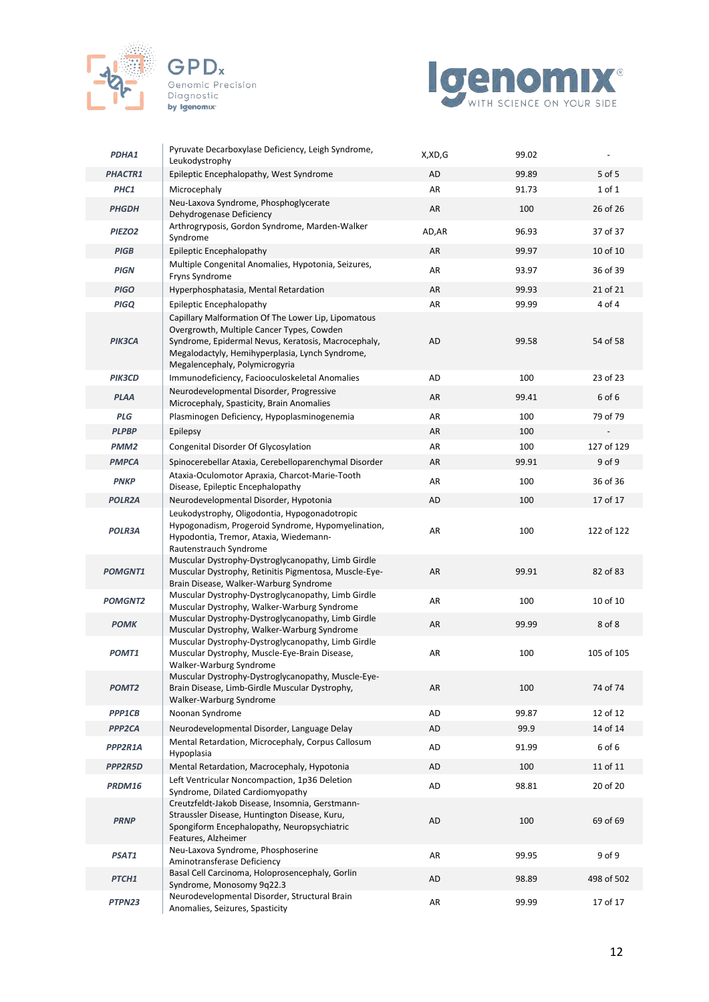





| PDHA1               | Pyruvate Decarboxylase Deficiency, Leigh Syndrome,<br>Leukodystrophy                                                                                                                                                                         | X,XD,G    | 99.02 | $\overline{\phantom{a}}$ |
|---------------------|----------------------------------------------------------------------------------------------------------------------------------------------------------------------------------------------------------------------------------------------|-----------|-------|--------------------------|
| <b>PHACTR1</b>      | Epileptic Encephalopathy, West Syndrome                                                                                                                                                                                                      | <b>AD</b> | 99.89 | 5 of 5                   |
| PHC1                | Microcephaly                                                                                                                                                                                                                                 | AR        | 91.73 | 1 of 1                   |
| <b>PHGDH</b>        | Neu-Laxova Syndrome, Phosphoglycerate<br>Dehydrogenase Deficiency                                                                                                                                                                            | AR        | 100   | 26 of 26                 |
| PIEZO <sub>2</sub>  | Arthrogryposis, Gordon Syndrome, Marden-Walker<br>Syndrome                                                                                                                                                                                   | AD, AR    | 96.93 | 37 of 37                 |
| <b>PIGB</b>         | Epileptic Encephalopathy                                                                                                                                                                                                                     | AR        | 99.97 | 10 of 10                 |
| <b>PIGN</b>         | Multiple Congenital Anomalies, Hypotonia, Seizures,<br>Fryns Syndrome                                                                                                                                                                        | AR        | 93.97 | 36 of 39                 |
| <b>PIGO</b>         | Hyperphosphatasia, Mental Retardation                                                                                                                                                                                                        | AR        | 99.93 | 21 of 21                 |
| <b>PIGQ</b>         | Epileptic Encephalopathy                                                                                                                                                                                                                     | AR        | 99.99 | 4 of 4                   |
| PIK3CA              | Capillary Malformation Of The Lower Lip, Lipomatous<br>Overgrowth, Multiple Cancer Types, Cowden<br>Syndrome, Epidermal Nevus, Keratosis, Macrocephaly,<br>Megalodactyly, Hemihyperplasia, Lynch Syndrome,<br>Megalencephaly, Polymicrogyria | AD        | 99.58 | 54 of 58                 |
| <b>PIK3CD</b>       | Immunodeficiency, Faciooculoskeletal Anomalies                                                                                                                                                                                               | <b>AD</b> | 100   | 23 of 23                 |
| <b>PLAA</b>         | Neurodevelopmental Disorder, Progressive<br>Microcephaly, Spasticity, Brain Anomalies                                                                                                                                                        | AR        | 99.41 | 6 of 6                   |
| <b>PLG</b>          | Plasminogen Deficiency, Hypoplasminogenemia                                                                                                                                                                                                  | AR        | 100   | 79 of 79                 |
| <b>PLPBP</b>        | Epilepsy                                                                                                                                                                                                                                     | AR        | 100   |                          |
| PMM <sub>2</sub>    | Congenital Disorder Of Glycosylation                                                                                                                                                                                                         | AR        | 100   | 127 of 129               |
| <b>PMPCA</b>        | Spinocerebellar Ataxia, Cerebelloparenchymal Disorder                                                                                                                                                                                        | AR        | 99.91 | 9 of 9                   |
| <b>PNKP</b>         | Ataxia-Oculomotor Apraxia, Charcot-Marie-Tooth<br>Disease, Epileptic Encephalopathy                                                                                                                                                          | AR        | 100   | 36 of 36                 |
| <b>POLR2A</b>       | Neurodevelopmental Disorder, Hypotonia                                                                                                                                                                                                       | AD        | 100   | 17 of 17                 |
| <b>POLR3A</b>       | Leukodystrophy, Oligodontia, Hypogonadotropic<br>Hypogonadism, Progeroid Syndrome, Hypomyelination,<br>Hypodontia, Tremor, Ataxia, Wiedemann-<br>Rautenstrauch Syndrome                                                                      | AR        | 100   | 122 of 122               |
| <b>POMGNT1</b>      | Muscular Dystrophy-Dystroglycanopathy, Limb Girdle<br>Muscular Dystrophy, Retinitis Pigmentosa, Muscle-Eye-<br>Brain Disease, Walker-Warburg Syndrome                                                                                        | AR        | 99.91 | 82 of 83                 |
| <b>POMGNT2</b>      | Muscular Dystrophy-Dystroglycanopathy, Limb Girdle<br>Muscular Dystrophy, Walker-Warburg Syndrome                                                                                                                                            | AR        | 100   | 10 of 10                 |
| <b>POMK</b>         | Muscular Dystrophy-Dystroglycanopathy, Limb Girdle<br>Muscular Dystrophy, Walker-Warburg Syndrome                                                                                                                                            | AR        | 99.99 | 8 of 8                   |
| <b>POMT1</b>        | Muscular Dystrophy-Dystroglycanopathy, Limb Girdle<br>Muscular Dystrophy, Muscle-Eye-Brain Disease,<br>Walker-Warburg Syndrome                                                                                                               | AR        | 100   | 105 of 105               |
| POMT <sub>2</sub>   | Muscular Dystrophy-Dystroglycanopathy, Muscle-Eye-<br>Brain Disease, Limb-Girdle Muscular Dystrophy,<br>Walker-Warburg Syndrome                                                                                                              | AR        | 100   | 74 of 74                 |
| PPP1CB              | Noonan Syndrome                                                                                                                                                                                                                              | AD        | 99.87 | 12 of 12                 |
| PPP <sub>2</sub> CA | Neurodevelopmental Disorder, Language Delay                                                                                                                                                                                                  | AD        | 99.9  | 14 of 14                 |
| PPP2R1A             | Mental Retardation, Microcephaly, Corpus Callosum<br>Hypoplasia                                                                                                                                                                              | AD        | 91.99 | 6 of 6                   |
| PPP2R5D             | Mental Retardation, Macrocephaly, Hypotonia                                                                                                                                                                                                  | AD        | 100   | 11 of 11                 |
| PRDM16              | Left Ventricular Noncompaction, 1p36 Deletion<br>Syndrome, Dilated Cardiomyopathy                                                                                                                                                            | AD        | 98.81 | 20 of 20                 |
| <b>PRNP</b>         | Creutzfeldt-Jakob Disease, Insomnia, Gerstmann-<br>Straussler Disease, Huntington Disease, Kuru,<br>Spongiform Encephalopathy, Neuropsychiatric<br>Features, Alzheimer                                                                       | AD        | 100   | 69 of 69                 |
| PSAT1               | Neu-Laxova Syndrome, Phosphoserine<br>Aminotransferase Deficiency                                                                                                                                                                            | AR        | 99.95 | 9 of 9                   |
| PTCH1               | Basal Cell Carcinoma, Holoprosencephaly, Gorlin<br>Syndrome, Monosomy 9q22.3                                                                                                                                                                 | AD        | 98.89 | 498 of 502               |
| PTPN23              | Neurodevelopmental Disorder, Structural Brain<br>Anomalies, Seizures, Spasticity                                                                                                                                                             | AR        | 99.99 | 17 of 17                 |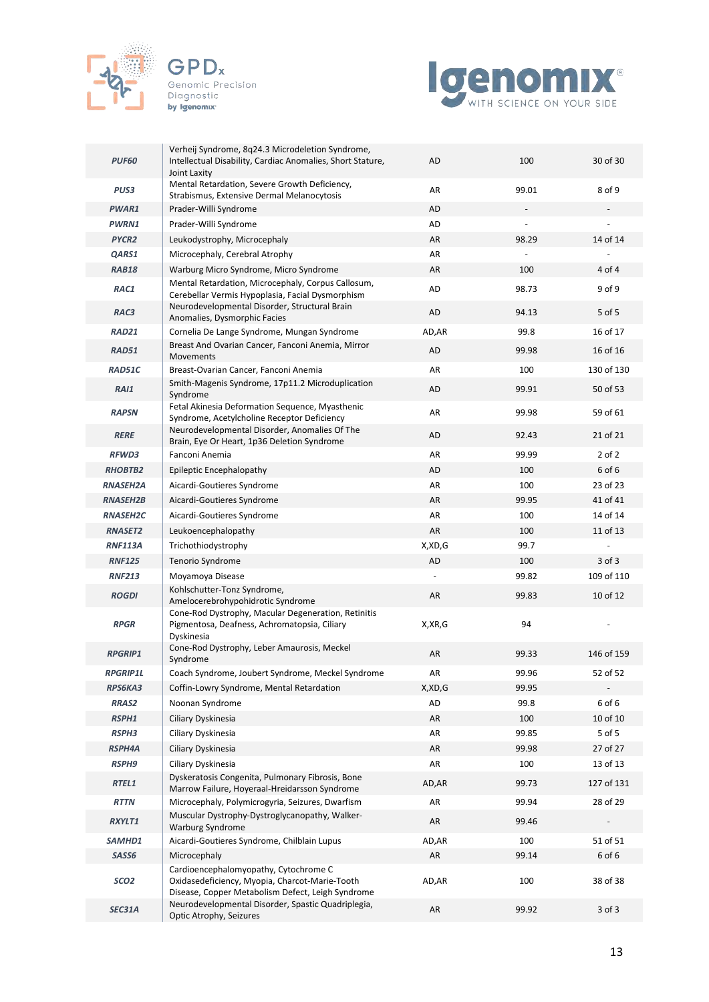





| <b>PUF60</b>      | Verheij Syndrome, 8q24.3 Microdeletion Syndrome,<br>Intellectual Disability, Cardiac Anomalies, Short Stature,<br>Joint Laxity               | AD             | 100   | 30 of 30   |
|-------------------|----------------------------------------------------------------------------------------------------------------------------------------------|----------------|-------|------------|
| PUS3              | Mental Retardation, Severe Growth Deficiency,<br>Strabismus, Extensive Dermal Melanocytosis                                                  | AR             | 99.01 | 8 of 9     |
| PWAR1             | Prader-Willi Syndrome                                                                                                                        | AD             |       |            |
| <b>PWRN1</b>      | Prader-Willi Syndrome                                                                                                                        | AD             |       |            |
| PYCR <sub>2</sub> | Leukodystrophy, Microcephaly                                                                                                                 | AR             | 98.29 | 14 of 14   |
| QARS1             | Microcephaly, Cerebral Atrophy                                                                                                               | AR             |       |            |
| RAB18             | Warburg Micro Syndrome, Micro Syndrome                                                                                                       | AR             | 100   | 4 of 4     |
| RAC1              | Mental Retardation, Microcephaly, Corpus Callosum,<br>Cerebellar Vermis Hypoplasia, Facial Dysmorphism                                       | AD             | 98.73 | 9 of 9     |
| RAC3              | Neurodevelopmental Disorder, Structural Brain<br>Anomalies, Dysmorphic Facies                                                                | AD             | 94.13 | 5 of 5     |
| <b>RAD21</b>      | Cornelia De Lange Syndrome, Mungan Syndrome                                                                                                  | AD, AR         | 99.8  | 16 of 17   |
| RAD51             | Breast And Ovarian Cancer, Fanconi Anemia, Mirror<br>Movements                                                                               | AD             | 99.98 | 16 of 16   |
| RAD51C            | Breast-Ovarian Cancer, Fanconi Anemia                                                                                                        | AR             | 100   | 130 of 130 |
| <b>RAI1</b>       | Smith-Magenis Syndrome, 17p11.2 Microduplication<br>Syndrome                                                                                 | AD             | 99.91 | 50 of 53   |
| <b>RAPSN</b>      | Fetal Akinesia Deformation Sequence, Myasthenic<br>Syndrome, Acetylcholine Receptor Deficiency                                               | AR             | 99.98 | 59 of 61   |
| <b>RERE</b>       | Neurodevelopmental Disorder, Anomalies Of The<br>Brain, Eye Or Heart, 1p36 Deletion Syndrome                                                 | AD             | 92.43 | 21 of 21   |
| <b>RFWD3</b>      | Fanconi Anemia                                                                                                                               | AR             | 99.99 | $2$ of $2$ |
| <b>RHOBTB2</b>    | Epileptic Encephalopathy                                                                                                                     | AD             | 100   | 6 of 6     |
| <b>RNASEH2A</b>   | Aicardi-Goutieres Syndrome                                                                                                                   | AR             | 100   | 23 of 23   |
| <b>RNASEH2B</b>   | Aicardi-Goutieres Syndrome                                                                                                                   | AR             | 99.95 | 41 of 41   |
| <b>RNASEH2C</b>   | Aicardi-Goutieres Syndrome                                                                                                                   | AR             | 100   | 14 of 14   |
| <b>RNASET2</b>    | Leukoencephalopathy                                                                                                                          | AR             | 100   | 11 of 13   |
| <b>RNF113A</b>    | Trichothiodystrophy                                                                                                                          | X,XD,G         | 99.7  |            |
| <b>RNF125</b>     | Tenorio Syndrome                                                                                                                             | AD             | 100   | 3 of 3     |
| <b>RNF213</b>     | Moyamoya Disease                                                                                                                             | $\overline{a}$ | 99.82 | 109 of 110 |
| <b>ROGDI</b>      | Kohlschutter-Tonz Syndrome,<br>Amelocerebrohypohidrotic Syndrome                                                                             | AR             | 99.83 | 10 of 12   |
| <b>RPGR</b>       | Cone-Rod Dystrophy, Macular Degeneration, Retinitis<br>Pigmentosa, Deafness, Achromatopsia, Ciliary<br>Dyskinesia                            | X,XR,G         | 94    |            |
| <b>RPGRIP1</b>    | Cone-Rod Dystrophy, Leber Amaurosis, Meckel<br>Syndrome                                                                                      | AR             | 99.33 | 146 of 159 |
| <b>RPGRIP1L</b>   | Coach Syndrome, Joubert Syndrome, Meckel Syndrome                                                                                            | AR             | 99.96 | 52 of 52   |
| RPS6KA3           | Coffin-Lowry Syndrome, Mental Retardation                                                                                                    | X,XD,G         | 99.95 |            |
| <b>RRAS2</b>      | Noonan Syndrome                                                                                                                              | AD             | 99.8  | 6 of 6     |
| RSPH1             | Ciliary Dyskinesia                                                                                                                           | AR             | 100   | 10 of 10   |
| RSPH3             | Ciliary Dyskinesia                                                                                                                           | AR             | 99.85 | $5$ of $5$ |
| <b>RSPH4A</b>     | Ciliary Dyskinesia                                                                                                                           | AR             | 99.98 | 27 of 27   |
| <b>RSPH9</b>      | Ciliary Dyskinesia                                                                                                                           | AR             | 100   | 13 of 13   |
| RTEL1             | Dyskeratosis Congenita, Pulmonary Fibrosis, Bone<br>Marrow Failure, Hoyeraal-Hreidarsson Syndrome                                            | AD, AR         | 99.73 | 127 of 131 |
| <b>RTTN</b>       | Microcephaly, Polymicrogyria, Seizures, Dwarfism                                                                                             | AR             | 99.94 | 28 of 29   |
| RXYLT1            | Muscular Dystrophy-Dystroglycanopathy, Walker-<br><b>Warburg Syndrome</b>                                                                    | AR             | 99.46 |            |
| SAMHD1            | Aicardi-Goutieres Syndrome, Chilblain Lupus                                                                                                  | AD,AR          | 100   | 51 of 51   |
| SASS6             | Microcephaly                                                                                                                                 | AR             | 99.14 | 6 of 6     |
| SCO <sub>2</sub>  | Cardioencephalomyopathy, Cytochrome C<br>Oxidasedeficiency, Myopia, Charcot-Marie-Tooth<br>Disease, Copper Metabolism Defect, Leigh Syndrome | AD, AR         | 100   | 38 of 38   |
| SEC31A            | Neurodevelopmental Disorder, Spastic Quadriplegia,<br>Optic Atrophy, Seizures                                                                | AR             | 99.92 | 3 of 3     |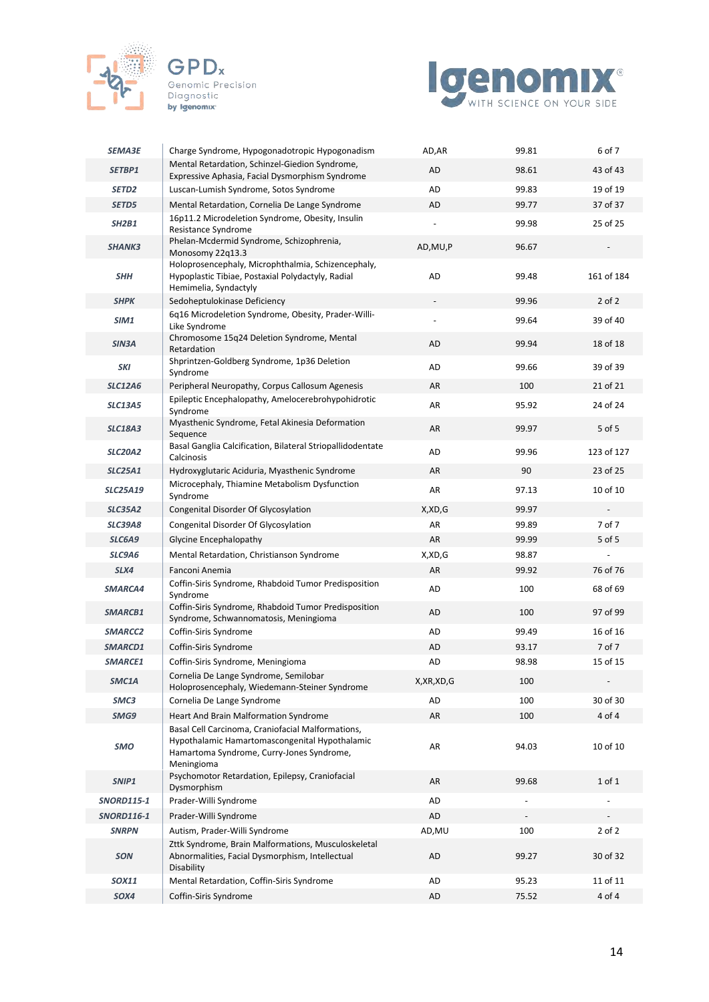





| <b>SEMA3E</b>     | Charge Syndrome, Hypogonadotropic Hypogonadism                                                                                                                 | AD,AR                    | 99.81                    | 6 of 7                   |
|-------------------|----------------------------------------------------------------------------------------------------------------------------------------------------------------|--------------------------|--------------------------|--------------------------|
| SETBP1            | Mental Retardation, Schinzel-Giedion Syndrome,                                                                                                                 | AD                       | 98.61                    | 43 of 43                 |
| SETD <sub>2</sub> | Expressive Aphasia, Facial Dysmorphism Syndrome<br>Luscan-Lumish Syndrome, Sotos Syndrome                                                                      | AD                       | 99.83                    | 19 of 19                 |
| SETD5             | Mental Retardation, Cornelia De Lange Syndrome                                                                                                                 | AD                       | 99.77                    | 37 of 37                 |
| <b>SH2B1</b>      | 16p11.2 Microdeletion Syndrome, Obesity, Insulin<br>Resistance Syndrome                                                                                        | $\overline{\phantom{a}}$ | 99.98                    | 25 of 25                 |
| <b>SHANK3</b>     | Phelan-Mcdermid Syndrome, Schizophrenia,<br>Monosomy 22q13.3                                                                                                   | AD, MU, P                | 96.67                    |                          |
| SHH               | Holoprosencephaly, Microphthalmia, Schizencephaly,<br>Hypoplastic Tibiae, Postaxial Polydactyly, Radial<br>Hemimelia, Syndactyly                               | AD                       | 99.48                    | 161 of 184               |
| <b>SHPK</b>       | Sedoheptulokinase Deficiency                                                                                                                                   |                          | 99.96                    | $2$ of $2$               |
| SIM1              | 6q16 Microdeletion Syndrome, Obesity, Prader-Willi-<br>Like Syndrome                                                                                           |                          | 99.64                    | 39 of 40                 |
| SIN3A             | Chromosome 15q24 Deletion Syndrome, Mental<br>Retardation                                                                                                      | AD                       | 99.94                    | 18 of 18                 |
| SKI               | Shprintzen-Goldberg Syndrome, 1p36 Deletion<br>Syndrome                                                                                                        | AD                       | 99.66                    | 39 of 39                 |
| <b>SLC12A6</b>    | Peripheral Neuropathy, Corpus Callosum Agenesis                                                                                                                | AR                       | 100                      | 21 of 21                 |
| <b>SLC13A5</b>    | Epileptic Encephalopathy, Amelocerebrohypohidrotic<br>Syndrome                                                                                                 | AR                       | 95.92                    | 24 of 24                 |
| <b>SLC18A3</b>    | Myasthenic Syndrome, Fetal Akinesia Deformation<br>Sequence                                                                                                    | AR                       | 99.97                    | 5 of 5                   |
| <b>SLC20A2</b>    | Basal Ganglia Calcification, Bilateral Striopallidodentate<br>Calcinosis                                                                                       | AD                       | 99.96                    | 123 of 127               |
| <b>SLC25A1</b>    | Hydroxyglutaric Aciduria, Myasthenic Syndrome                                                                                                                  | AR                       | 90                       | 23 of 25                 |
| <b>SLC25A19</b>   | Microcephaly, Thiamine Metabolism Dysfunction<br>Syndrome                                                                                                      | AR                       | 97.13                    | 10 of 10                 |
| <b>SLC35A2</b>    | Congenital Disorder Of Glycosylation                                                                                                                           | X,XD,G                   | 99.97                    |                          |
| <b>SLC39A8</b>    | Congenital Disorder Of Glycosylation                                                                                                                           | AR                       | 99.89                    | 7 of 7                   |
| SLC6A9            | Glycine Encephalopathy                                                                                                                                         | AR                       | 99.99                    | 5 of 5                   |
| SLC9A6            | Mental Retardation, Christianson Syndrome                                                                                                                      | X,XD,G                   | 98.87                    |                          |
| SLX4              | Fanconi Anemia                                                                                                                                                 | AR                       | 99.92                    | 76 of 76                 |
| SMARCA4           | Coffin-Siris Syndrome, Rhabdoid Tumor Predisposition<br>Syndrome                                                                                               | AD                       | 100                      | 68 of 69                 |
| SMARCB1           | Coffin-Siris Syndrome, Rhabdoid Tumor Predisposition<br>Syndrome, Schwannomatosis, Meningioma                                                                  | AD                       | 100                      | 97 of 99                 |
| SMARCC2           | Coffin-Siris Syndrome                                                                                                                                          | AD                       | 99.49                    | 16 of 16                 |
| SMARCD1           | Coffin-Siris Syndrome                                                                                                                                          | AD                       | 93.17                    | 7 of 7                   |
| SMARCE1           | Coffin-Siris Syndrome, Meningioma                                                                                                                              | AD                       | 98.98                    | 15 of 15                 |
| SMC1A             | Cornelia De Lange Syndrome, Semilobar<br>Holoprosencephaly, Wiedemann-Steiner Syndrome                                                                         | X, XR, XD, G             | 100                      | $\overline{\phantom{a}}$ |
| SMC3              | Cornelia De Lange Syndrome                                                                                                                                     | AD                       | 100                      | 30 of 30                 |
| SMG9              | Heart And Brain Malformation Syndrome                                                                                                                          | AR                       | 100                      | 4 of 4                   |
| <b>SMO</b>        | Basal Cell Carcinoma, Craniofacial Malformations,<br>Hypothalamic Hamartomascongenital Hypothalamic<br>Hamartoma Syndrome, Curry-Jones Syndrome,<br>Meningioma | AR                       | 94.03                    | 10 of 10                 |
| SNIP1             | Psychomotor Retardation, Epilepsy, Craniofacial<br>Dysmorphism                                                                                                 | AR                       | 99.68                    | $1$ of $1$               |
| <b>SNORD115-1</b> | Prader-Willi Syndrome                                                                                                                                          | AD                       |                          |                          |
| <b>SNORD116-1</b> | Prader-Willi Syndrome                                                                                                                                          | AD                       | $\overline{\phantom{a}}$ |                          |
| <b>SNRPN</b>      | Autism, Prader-Willi Syndrome                                                                                                                                  | AD, MU                   | 100                      | $2$ of $2$               |
| <b>SON</b>        | Zttk Syndrome, Brain Malformations, Musculoskeletal<br>Abnormalities, Facial Dysmorphism, Intellectual<br>Disability                                           | AD                       | 99.27                    | 30 of 32                 |
| SOX11             | Mental Retardation, Coffin-Siris Syndrome                                                                                                                      | AD                       | 95.23                    | 11 of 11                 |
| SOX4              | Coffin-Siris Syndrome                                                                                                                                          | AD                       | 75.52                    | 4 of 4                   |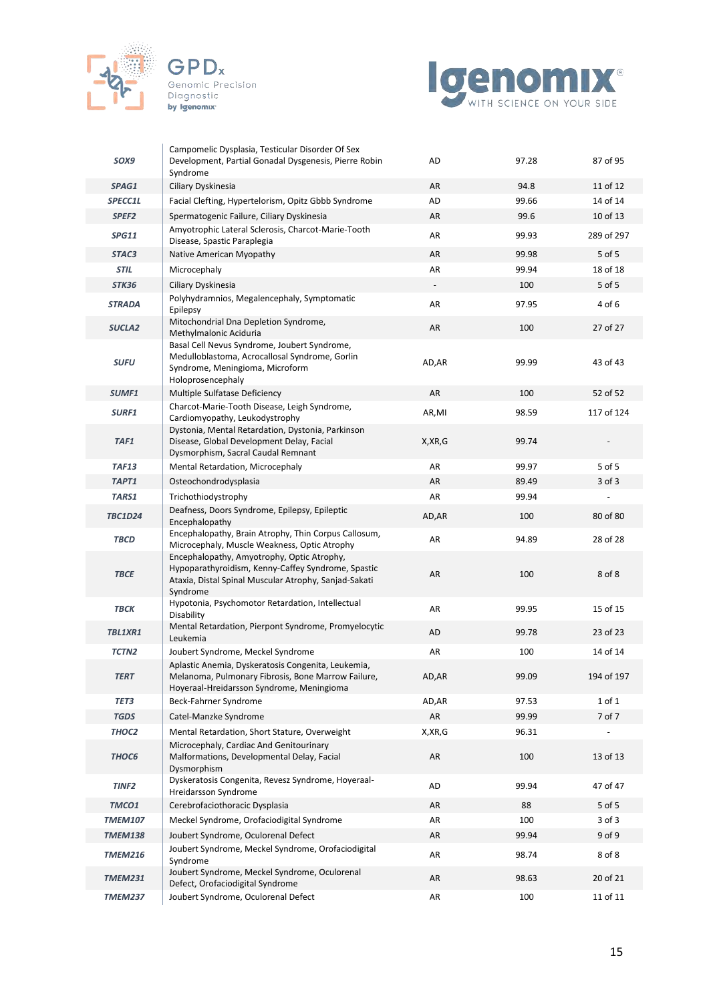



| SOX9                  | Campomelic Dysplasia, Testicular Disorder Of Sex<br>Development, Partial Gonadal Dysgenesis, Pierre Robin<br>Syndrome                                                 | AD       | 97.28 | 87 of 95   |
|-----------------------|-----------------------------------------------------------------------------------------------------------------------------------------------------------------------|----------|-------|------------|
| SPAG1                 | Ciliary Dyskinesia                                                                                                                                                    | AR       | 94.8  | 11 of 12   |
| <i><b>SPECC1L</b></i> | Facial Clefting, Hypertelorism, Opitz Gbbb Syndrome                                                                                                                   | AD       | 99.66 | 14 of 14   |
| SPEF <sub>2</sub>     | Spermatogenic Failure, Ciliary Dyskinesia                                                                                                                             | AR       | 99.6  | 10 of 13   |
| <b>SPG11</b>          | Amyotrophic Lateral Sclerosis, Charcot-Marie-Tooth<br>Disease, Spastic Paraplegia                                                                                     | AR       | 99.93 | 289 of 297 |
| STAC3                 | Native American Myopathy                                                                                                                                              | AR       | 99.98 | 5 of 5     |
| <b>STIL</b>           | Microcephaly                                                                                                                                                          | AR       | 99.94 | 18 of 18   |
| STK36                 | Ciliary Dyskinesia                                                                                                                                                    |          | 100   | 5 of 5     |
| <b>STRADA</b>         | Polyhydramnios, Megalencephaly, Symptomatic<br>Epilepsy                                                                                                               | AR       | 97.95 | 4 of 6     |
| SUCLA <sub>2</sub>    | Mitochondrial Dna Depletion Syndrome,<br>Methylmalonic Aciduria                                                                                                       | AR       | 100   | 27 of 27   |
| <b>SUFU</b>           | Basal Cell Nevus Syndrome, Joubert Syndrome,<br>Medulloblastoma, Acrocallosal Syndrome, Gorlin<br>Syndrome, Meningioma, Microform<br>Holoprosencephaly                | AD, AR   | 99.99 | 43 of 43   |
| SUMF1                 | Multiple Sulfatase Deficiency                                                                                                                                         | AR       | 100   | 52 of 52   |
| SURF1                 | Charcot-Marie-Tooth Disease, Leigh Syndrome,<br>Cardiomyopathy, Leukodystrophy                                                                                        | AR,MI    | 98.59 | 117 of 124 |
| TAF1                  | Dystonia, Mental Retardation, Dystonia, Parkinson<br>Disease, Global Development Delay, Facial<br>Dysmorphism, Sacral Caudal Remnant                                  | X, XR, G | 99.74 |            |
| <b>TAF13</b>          | Mental Retardation, Microcephaly                                                                                                                                      | AR       | 99.97 | 5 of 5     |
| TAPT1                 | Osteochondrodysplasia                                                                                                                                                 | AR       | 89.49 | 3 of 3     |
| TARS1                 | Trichothiodystrophy                                                                                                                                                   | AR       | 99.94 |            |
| <b>TBC1D24</b>        | Deafness, Doors Syndrome, Epilepsy, Epileptic<br>Encephalopathy                                                                                                       | AD, AR   | 100   | 80 of 80   |
| <b>TBCD</b>           | Encephalopathy, Brain Atrophy, Thin Corpus Callosum,<br>Microcephaly, Muscle Weakness, Optic Atrophy                                                                  | AR       | 94.89 | 28 of 28   |
| <b>TBCE</b>           | Encephalopathy, Amyotrophy, Optic Atrophy,<br>Hypoparathyroidism, Kenny-Caffey Syndrome, Spastic<br>Ataxia, Distal Spinal Muscular Atrophy, Sanjad-Sakati<br>Syndrome | AR       | 100   | 8 of 8     |
| <b>TBCK</b>           | Hypotonia, Psychomotor Retardation, Intellectual<br>Disability                                                                                                        | AR       | 99.95 | 15 of 15   |
| TBL1XR1               | Mental Retardation, Pierpont Syndrome, Promyelocytic<br>Leukemia                                                                                                      | AD       | 99.78 | 23 of 23   |
| TCTN <sub>2</sub>     | Joubert Syndrome, Meckel Syndrome                                                                                                                                     | AR       | 100   | 14 of 14   |
| <b>TERT</b>           | Aplastic Anemia, Dyskeratosis Congenita, Leukemia,<br>Melanoma, Pulmonary Fibrosis, Bone Marrow Failure,<br>Hoyeraal-Hreidarsson Syndrome, Meningioma                 | AD,AR    | 99.09 | 194 of 197 |
| TET3                  | Beck-Fahrner Syndrome                                                                                                                                                 | AD, AR   | 97.53 | 1 of 1     |
| <b>TGDS</b>           | Catel-Manzke Syndrome                                                                                                                                                 | AR       | 99.99 | 7 of 7     |
| THOC <sub>2</sub>     | Mental Retardation, Short Stature, Overweight                                                                                                                         | X, XR, G | 96.31 |            |
| THOC6                 | Microcephaly, Cardiac And Genitourinary<br>Malformations, Developmental Delay, Facial<br>Dysmorphism                                                                  | AR       | 100   | 13 of 13   |
| TINF <sub>2</sub>     | Dyskeratosis Congenita, Revesz Syndrome, Hoyeraal-<br>Hreidarsson Syndrome                                                                                            | AD       | 99.94 | 47 of 47   |
| TMCO1                 | Cerebrofaciothoracic Dysplasia                                                                                                                                        | AR       | 88    | 5 of 5     |
| <b>TMEM107</b>        | Meckel Syndrome, Orofaciodigital Syndrome                                                                                                                             | AR       | 100   | 3 of 3     |
| <b>TMEM138</b>        | Joubert Syndrome, Oculorenal Defect                                                                                                                                   | AR       | 99.94 | 9 of 9     |
| <b>TMEM216</b>        | Joubert Syndrome, Meckel Syndrome, Orofaciodigital<br>Syndrome                                                                                                        | AR       | 98.74 | 8 of 8     |
| <b>TMEM231</b>        | Joubert Syndrome, Meckel Syndrome, Oculorenal<br>Defect, Orofaciodigital Syndrome                                                                                     | AR       | 98.63 | 20 of 21   |
| <b>TMEM237</b>        | Joubert Syndrome, Oculorenal Defect                                                                                                                                   | AR       | 100   | 11 of 11   |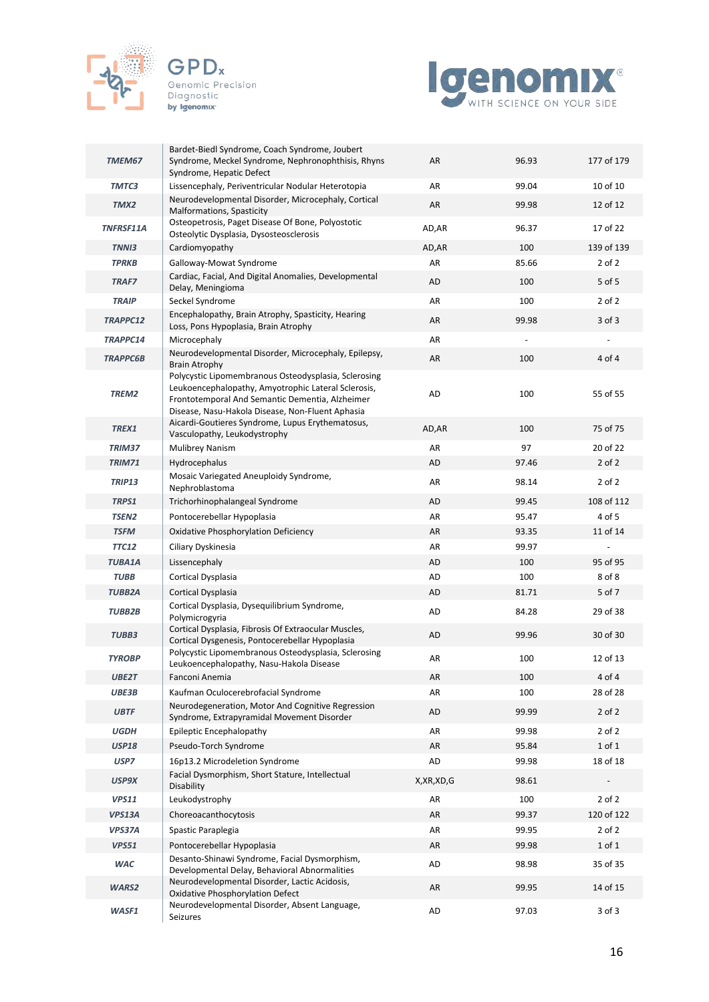





| TMEM67          | Bardet-Biedl Syndrome, Coach Syndrome, Joubert<br>Syndrome, Meckel Syndrome, Nephronophthisis, Rhyns<br>Syndrome, Hepatic Defect                                                                                   | AR        | 96.93 | 177 of 179 |
|-----------------|--------------------------------------------------------------------------------------------------------------------------------------------------------------------------------------------------------------------|-----------|-------|------------|
| TMTC3           | Lissencephaly, Periventricular Nodular Heterotopia                                                                                                                                                                 | AR        | 99.04 | 10 of 10   |
| TMX2            | Neurodevelopmental Disorder, Microcephaly, Cortical<br>Malformations, Spasticity                                                                                                                                   | AR        | 99.98 | 12 of 12   |
| TNFRSF11A       | Osteopetrosis, Paget Disease Of Bone, Polyostotic<br>Osteolytic Dysplasia, Dysosteosclerosis                                                                                                                       | AD, AR    | 96.37 | 17 of 22   |
| <b>TNNI3</b>    | Cardiomyopathy                                                                                                                                                                                                     | AD, AR    | 100   | 139 of 139 |
| <b>TPRKB</b>    | Galloway-Mowat Syndrome                                                                                                                                                                                            | AR        | 85.66 | $2$ of $2$ |
| <b>TRAF7</b>    | Cardiac, Facial, And Digital Anomalies, Developmental<br>Delay, Meningioma                                                                                                                                         | AD        | 100   | 5 of 5     |
| <b>TRAIP</b>    | Seckel Syndrome                                                                                                                                                                                                    | AR        | 100   | $2$ of $2$ |
| TRAPPC12        | Encephalopathy, Brain Atrophy, Spasticity, Hearing<br>Loss, Pons Hypoplasia, Brain Atrophy                                                                                                                         | AR        | 99.98 | $3$ of $3$ |
| TRAPPC14        | Microcephaly                                                                                                                                                                                                       | AR        |       |            |
| <b>TRAPPC6B</b> | Neurodevelopmental Disorder, Microcephaly, Epilepsy,<br><b>Brain Atrophy</b>                                                                                                                                       | AR        | 100   | 4 of 4     |
| TREM2           | Polycystic Lipomembranous Osteodysplasia, Sclerosing<br>Leukoencephalopathy, Amyotrophic Lateral Sclerosis,<br>Frontotemporal And Semantic Dementia, Alzheimer<br>Disease, Nasu-Hakola Disease, Non-Fluent Aphasia | AD        | 100   | 55 of 55   |
| TREX1           | Aicardi-Goutieres Syndrome, Lupus Erythematosus,<br>Vasculopathy, Leukodystrophy                                                                                                                                   | AD, AR    | 100   | 75 of 75   |
| TRIM37          | <b>Mulibrey Nanism</b>                                                                                                                                                                                             | AR        | 97    | 20 of 22   |
| <b>TRIM71</b>   | Hydrocephalus                                                                                                                                                                                                      | <b>AD</b> | 97.46 | $2$ of $2$ |
| <b>TRIP13</b>   | Mosaic Variegated Aneuploidy Syndrome,<br>Nephroblastoma                                                                                                                                                           | AR        | 98.14 | $2$ of $2$ |
| TRPS1           | Trichorhinophalangeal Syndrome                                                                                                                                                                                     | <b>AD</b> | 99.45 | 108 of 112 |
| <b>TSEN2</b>    | Pontocerebellar Hypoplasia                                                                                                                                                                                         | AR        | 95.47 | 4 of 5     |
| <b>TSFM</b>     | Oxidative Phosphorylation Deficiency                                                                                                                                                                               | AR        | 93.35 | 11 of 14   |
| <b>TTC12</b>    | Ciliary Dyskinesia                                                                                                                                                                                                 | AR        | 99.97 |            |
| <b>TUBA1A</b>   | Lissencephaly                                                                                                                                                                                                      | <b>AD</b> | 100   | 95 of 95   |
| <b>TUBB</b>     | Cortical Dysplasia                                                                                                                                                                                                 | AD        | 100   | 8 of 8     |
| <b>TUBB2A</b>   | Cortical Dysplasia                                                                                                                                                                                                 | <b>AD</b> | 81.71 | 5 of 7     |
| <b>TUBB2B</b>   | Cortical Dysplasia, Dysequilibrium Syndrome,<br>Polymicrogyria                                                                                                                                                     | <b>AD</b> | 84.28 | 29 of 38   |
| TUBB3           | Cortical Dysplasia, Fibrosis Of Extraocular Muscles,<br>Cortical Dysgenesis, Pontocerebellar Hypoplasia                                                                                                            | <b>AD</b> | 99.96 | 30 of 30   |
| <b>TYROBP</b>   | Polycystic Lipomembranous Osteodysplasia, Sclerosing<br>Leukoencephalopathy, Nasu-Hakola Disease                                                                                                                   | AR        | 100   | 12 of 13   |
| UBE2T           | Fanconi Anemia                                                                                                                                                                                                     | <b>AR</b> | 100   | 4 of 4     |
| UBE3B           | Kaufman Oculocerebrofacial Syndrome                                                                                                                                                                                | AR        | 100   | 28 of 28   |
| <b>UBTF</b>     | Neurodegeneration, Motor And Cognitive Regression<br>Syndrome, Extrapyramidal Movement Disorder                                                                                                                    | AD        | 99.99 | $2$ of $2$ |
| <b>UGDH</b>     | Epileptic Encephalopathy                                                                                                                                                                                           | AR        | 99.98 | $2$ of $2$ |
| <b>USP18</b>    | Pseudo-Torch Syndrome                                                                                                                                                                                              | AR        | 95.84 | $1$ of $1$ |
| USP7            | 16p13.2 Microdeletion Syndrome                                                                                                                                                                                     | AD        | 99.98 | 18 of 18   |
| USP9X           | Facial Dysmorphism, Short Stature, Intellectual<br>Disability                                                                                                                                                      | X,XR,XD,G | 98.61 |            |
| <b>VPS11</b>    | Leukodystrophy                                                                                                                                                                                                     | AR        | 100   | $2$ of $2$ |
| VPS13A          | Choreoacanthocytosis                                                                                                                                                                                               | AR        | 99.37 | 120 of 122 |
| VPS37A          | Spastic Paraplegia                                                                                                                                                                                                 | AR        | 99.95 | $2$ of $2$ |
| <b>VPS51</b>    | Pontocerebellar Hypoplasia                                                                                                                                                                                         | AR        | 99.98 | $1$ of $1$ |
| <b>WAC</b>      | Desanto-Shinawi Syndrome, Facial Dysmorphism,<br>Developmental Delay, Behavioral Abnormalities                                                                                                                     | AD        | 98.98 | 35 of 35   |
| WARS2           | Neurodevelopmental Disorder, Lactic Acidosis,<br><b>Oxidative Phosphorylation Defect</b>                                                                                                                           | AR        | 99.95 | 14 of 15   |
| WASF1           | Neurodevelopmental Disorder, Absent Language,<br>Seizures                                                                                                                                                          | AD        | 97.03 | 3 of 3     |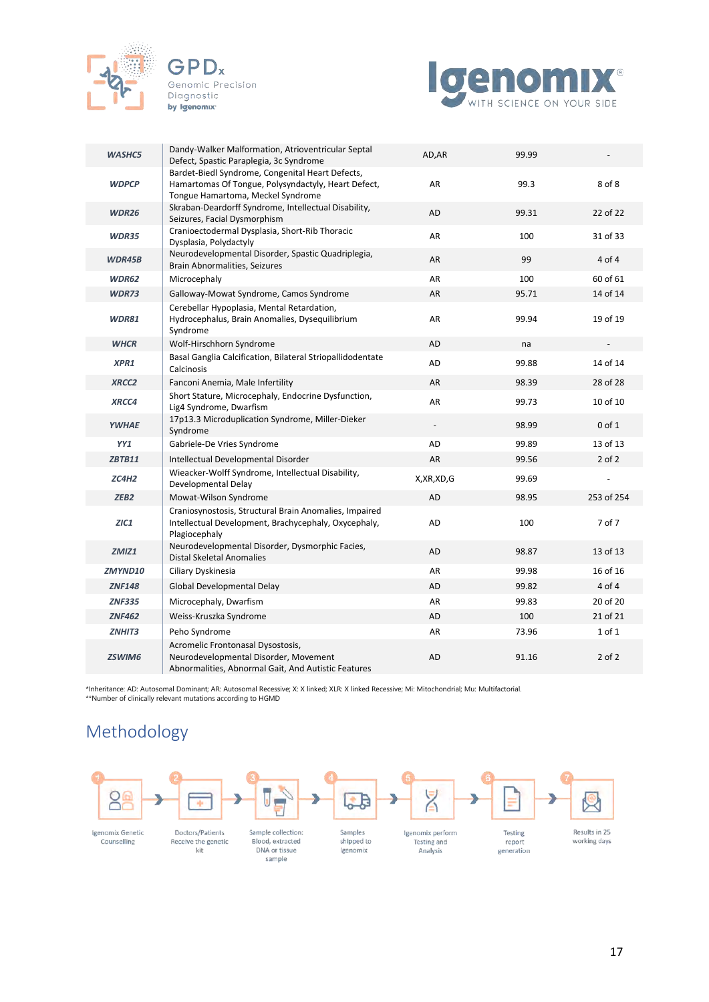



| <b>WASHC5</b>    | Dandy-Walker Malformation, Atrioventricular Septal<br>Defect, Spastic Paraplegia, 3c Syndrome                                                | AD, AR       | 99.99 |            |
|------------------|----------------------------------------------------------------------------------------------------------------------------------------------|--------------|-------|------------|
| <b>WDPCP</b>     | Bardet-Biedl Syndrome, Congenital Heart Defects,<br>Hamartomas Of Tongue, Polysyndactyly, Heart Defect,<br>Tongue Hamartoma, Meckel Syndrome | AR           | 99.3  | 8 of 8     |
| <b>WDR26</b>     | Skraban-Deardorff Syndrome, Intellectual Disability,<br>Seizures, Facial Dysmorphism                                                         | AD           | 99.31 | 22 of 22   |
| <b>WDR35</b>     | Cranioectodermal Dysplasia, Short-Rib Thoracic<br>Dysplasia, Polydactyly                                                                     | AR           | 100   | 31 of 33   |
| WDR45B           | Neurodevelopmental Disorder, Spastic Quadriplegia,<br>Brain Abnormalities, Seizures                                                          | AR           | 99    | 4 of 4     |
| <b>WDR62</b>     | Microcephaly                                                                                                                                 | AR           | 100   | 60 of 61   |
| <b>WDR73</b>     | Galloway-Mowat Syndrome, Camos Syndrome                                                                                                      | AR           | 95.71 | 14 of 14   |
| <b>WDR81</b>     | Cerebellar Hypoplasia, Mental Retardation,<br>Hydrocephalus, Brain Anomalies, Dysequilibrium<br>Syndrome                                     | AR           | 99.94 | 19 of 19   |
| <b>WHCR</b>      | Wolf-Hirschhorn Syndrome                                                                                                                     | AD           | na    |            |
| XPR1             | Basal Ganglia Calcification, Bilateral Striopallidodentate<br>Calcinosis                                                                     | AD           | 99.88 | 14 of 14   |
| <b>XRCC2</b>     | Fanconi Anemia, Male Infertility                                                                                                             | AR           | 98.39 | 28 of 28   |
| XRCC4            | Short Stature, Microcephaly, Endocrine Dysfunction,<br>Lig4 Syndrome, Dwarfism                                                               | AR           | 99.73 | 10 of 10   |
| <b>YWHAE</b>     | 17p13.3 Microduplication Syndrome, Miller-Dieker<br>Syndrome                                                                                 |              | 98.99 | $0$ of $1$ |
| YY1              | Gabriele-De Vries Syndrome                                                                                                                   | AD           | 99.89 | 13 of 13   |
| <b>ZBTB11</b>    | Intellectual Developmental Disorder                                                                                                          | <b>AR</b>    | 99.56 | $2$ of $2$ |
| ZC4H2            | Wieacker-Wolff Syndrome, Intellectual Disability,<br>Developmental Delay                                                                     | X, XR, XD, G | 99.69 |            |
| ZEB <sub>2</sub> | Mowat-Wilson Syndrome                                                                                                                        | AD           | 98.95 | 253 of 254 |
| ZIC1             | Craniosynostosis, Structural Brain Anomalies, Impaired<br>Intellectual Development, Brachycephaly, Oxycephaly,<br>Plagiocephaly              | AD           | 100   | 7 of 7     |
| ZMIZ1            | Neurodevelopmental Disorder, Dysmorphic Facies,<br><b>Distal Skeletal Anomalies</b>                                                          | AD           | 98.87 | 13 of 13   |
| <b>ZMYND10</b>   | Ciliary Dyskinesia                                                                                                                           | AR           | 99.98 | 16 of 16   |
| <b>ZNF148</b>    | Global Developmental Delay                                                                                                                   | AD           | 99.82 | 4 of 4     |
| <b>ZNF335</b>    | Microcephaly, Dwarfism                                                                                                                       | AR           | 99.83 | 20 of 20   |
| <b>ZNF462</b>    | Weiss-Kruszka Syndrome                                                                                                                       | AD           | 100   | 21 of 21   |
| ZNHIT3           | Peho Syndrome                                                                                                                                | AR           | 73.96 | 1 of 1     |
| <b>ZSWIM6</b>    | Acromelic Frontonasal Dysostosis,<br>Neurodevelopmental Disorder, Movement<br>Abnormalities, Abnormal Gait, And Autistic Features            | AD           | 91.16 | $2$ of $2$ |

\*Inheritance: AD: Autosomal Dominant; AR: Autosomal Recessive; X: X linked; XLR: X linked Recessive; Mi: Mitochondrial; Mu: Multifactorial. \*\*Number of clinically relevant mutations according to HGMD

# Methodology